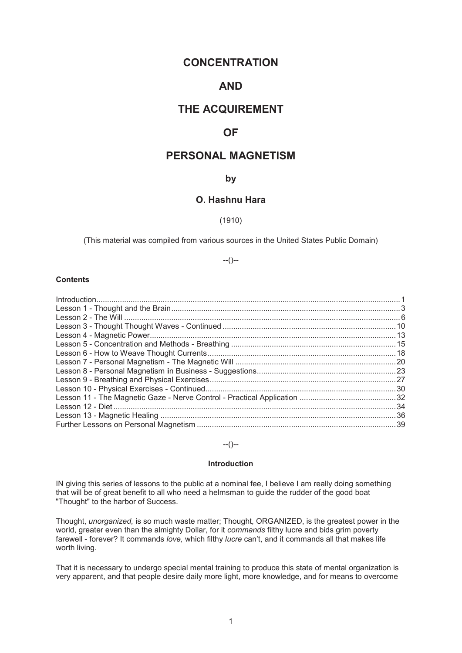# **CONCENTRATION**

# **AND**

# **THE ACQUIREMENT**

## **OF**

# **PERSONAL MAGNETISM**

## **by**

## **O. Hashnu Hara**

## (1910)

(This material was compiled from various sources in the United States Public Domain)

 $-(-)$ 

#### **Contents**

#### --()--

#### **Introduction**

IN giving this series of lessons to the public at a nominal fee, I believe I am really doing something that will be of great benefit to all who need a helmsman to guide the rudder of the good boat "Thought" to the harbor of Success.

Thought, *unorganized,* is so much waste matter; Thought, ORGANIZED, is the greatest power in the world, greater even than the almighty Dollar, for it *commands* filthy lucre and bids grim poverty farewell - forever? It commands *love,* which filthy *lucre* can't, and it commands all that makes life worth living.

That it is necessary to undergo special mental training to produce this state of mental organization is very apparent, and that people desire daily more light, more knowledge, and for means to overcome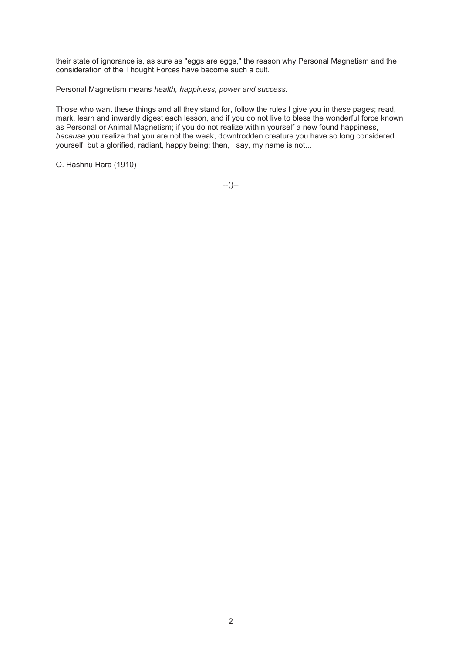their state of ignorance is, as sure as "eggs are eggs," the reason why Personal Magnetism and the consideration of the Thought Forces have become such a cult.

Personal Magnetism means *health, happiness, power and success.* 

Those who want these things and all they stand for, follow the rules I give you in these pages; read, mark, learn and inwardly digest each lesson, and if you do not live to bless the wonderful force known as Personal or Animal Magnetism; if you do not realize within yourself a new found happiness, *because* you realize that you are not the weak, downtrodden creature you have so long considered yourself, but a glorified, radiant, happy being; then, I say, my name is not...

O. Hashnu Hara (1910)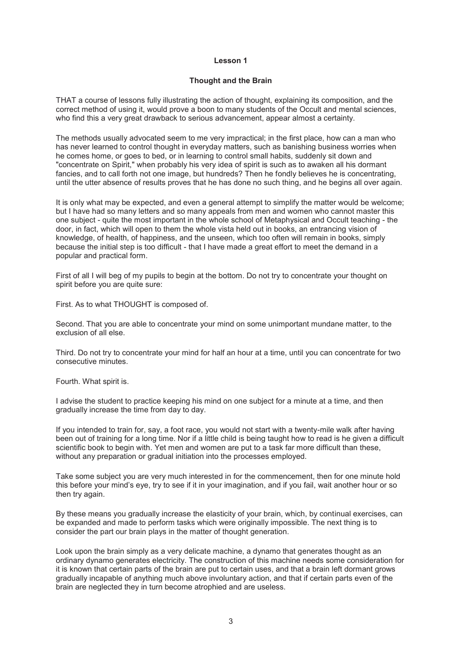#### **Thought and the Brain**

THAT a course of lessons fully illustrating the action of thought, explaining its composition, and the correct method of using it, would prove a boon to many students of the Occult and mental sciences, who find this a very great drawback to serious advancement, appear almost a certainty.

The methods usually advocated seem to me very impractical; in the first place, how can a man who has never learned to control thought in everyday matters, such as banishing business worries when he comes home, or goes to bed, or in learning to control small habits, suddenly sit down and "concentrate on Spirit," when probably his very idea of spirit is such as to awaken all his dormant fancies, and to call forth not one image, but hundreds? Then he fondly believes he is concentrating, until the utter absence of results proves that he has done no such thing, and he begins all over again.

It is only what may be expected, and even a general attempt to simplify the matter would be welcome; but I have had so many letters and so many appeals from men and women who cannot master this one subject - quite the most important in the whole school of Metaphysical and Occult teaching - the door, in fact, which will open to them the whole vista held out in books, an entrancing vision of knowledge, of health, of happiness, and the unseen, which too often will remain in books, simply because the initial step is too difficult - that I have made a great effort to meet the demand in a popular and practical form.

First of all I will beg of my pupils to begin at the bottom. Do not try to concentrate your thought on spirit before you are quite sure:

First. As to what THOUGHT is composed of.

Second. That you are able to concentrate your mind on some unimportant mundane matter, to the exclusion of all else.

Third. Do not try to concentrate your mind for half an hour at a time, until you can concentrate for two consecutive minutes.

Fourth. What spirit is.

I advise the student to practice keeping his mind on one subject for a minute at a time, and then gradually increase the time from day to day.

If you intended to train for, say, a foot race, you would not start with a twenty-mile walk after having been out of training for a long time. Nor if a little child is being taught how to read is he given a difficult scientific book to begin with. Yet men and women are put to a task far more difficult than these, without any preparation or gradual initiation into the processes employed.

Take some subject you are very much interested in for the commencement, then for one minute hold this before your mind's eye, try to see if it in your imagination, and if you fail, wait another hour or so then try again.

By these means you gradually increase the elasticity of your brain, which, by continual exercises, can be expanded and made to perform tasks which were originally impossible. The next thing is to consider the part our brain plays in the matter of thought generation.

Look upon the brain simply as a very delicate machine, a dynamo that generates thought as an ordinary dynamo generates electricity. The construction of this machine needs some consideration for it is known that certain parts of the brain are put to certain uses, and that a brain left dormant grows gradually incapable of anything much above involuntary action, and that if certain parts even of the brain are neglected they in turn become atrophied and are useless.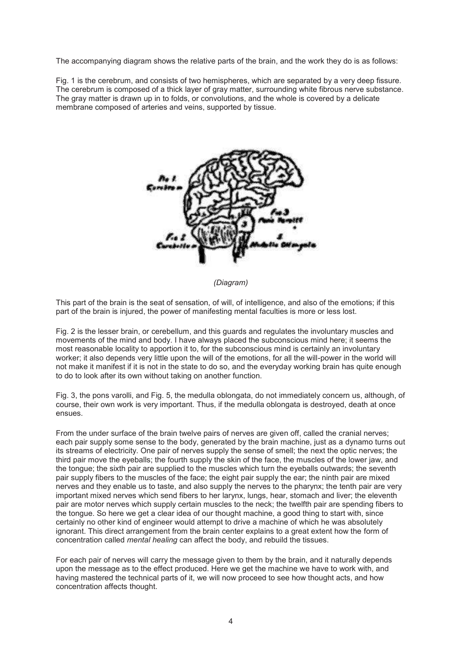The accompanying diagram shows the relative parts of the brain, and the work they do is as follows:

Fig. 1 is the cerebrum, and consists of two hemispheres, which are separated by a very deep fissure. The cerebrum is composed of a thick layer of gray matter, surrounding white fibrous nerve substance. The gray matter is drawn up in to folds, or convolutions, and the whole is covered by a delicate membrane composed of arteries and veins, supported by tissue.



*(Diagram)*

This part of the brain is the seat of sensation, of will, of intelligence, and also of the emotions; if this part of the brain is injured, the power of manifesting mental faculties is more or less lost.

Fig. 2 is the lesser brain, or cerebellum, and this guards and regulates the involuntary muscles and movements of the mind and body. I have always placed the subconscious mind here; it seems the most reasonable locality to apportion it to, for the subconscious mind is certainly an involuntary worker; it also depends very little upon the will of the emotions, for all the will-power in the world will not make it manifest if it is not in the state to do so, and the everyday working brain has quite enough to do to look after its own without taking on another function.

Fig. 3, the pons varolli, and Fig. 5, the medulla oblongata, do not immediately concern us, although, of course, their own work is very important. Thus, if the medulla oblongata is destroyed, death at once ensues.

From the under surface of the brain twelve pairs of nerves are given off, called the cranial nerves; each pair supply some sense to the body, generated by the brain machine, just as a dynamo turns out its streams of electricity. One pair of nerves supply the sense of smell; the next the optic nerves; the third pair move the eyeballs; the fourth supply the skin of the face, the muscles of the lower jaw, and the tongue; the sixth pair are supplied to the muscles which turn the eyeballs outwards; the seventh pair supply fibers to the muscles of the face; the eight pair supply the ear; the ninth pair are mixed nerves and they enable us to taste, and also supply the nerves to the pharynx; the tenth pair are very important mixed nerves which send fibers to her larynx, lungs, hear, stomach and liver; the eleventh pair are motor nerves which supply certain muscles to the neck; the twelfth pair are spending fibers to the tongue. So here we get a clear idea of our thought machine, a good thing to start with, since certainly no other kind of engineer would attempt to drive a machine of which he was absolutely ignorant. This direct arrangement from the brain center explains to a great extent how the form of concentration called *mental healing* can affect the body, and rebuild the tissues.

For each pair of nerves will carry the message given to them by the brain, and it naturally depends upon the message as to the effect produced. Here we get the machine we have to work with, and having mastered the technical parts of it, we will now proceed to see how thought acts, and how concentration affects thought.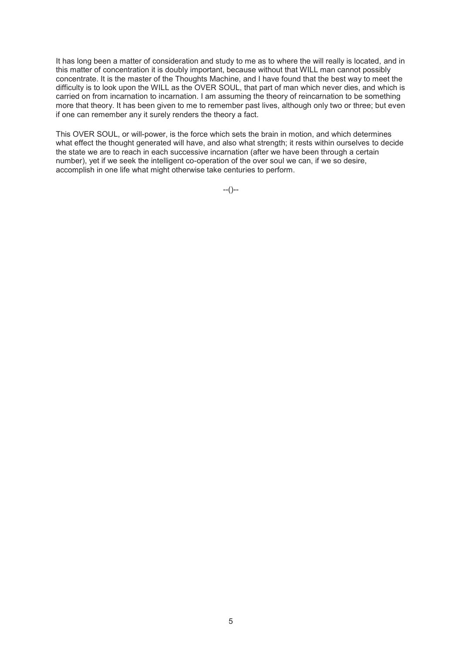It has long been a matter of consideration and study to me as to where the will really is located, and in this matter of concentration it is doubly important, because without that WILL man cannot possibly concentrate. It is the master of the Thoughts Machine, and I have found that the best way to meet the difficulty is to look upon the WILL as the OVER SOUL, that part of man which never dies, and which is carried on from incarnation to incarnation. I am assuming the theory of reincarnation to be something more that theory. It has been given to me to remember past lives, although only two or three; but even if one can remember any it surely renders the theory a fact.

This OVER SOUL, or will-power, is the force which sets the brain in motion, and which determines what effect the thought generated will have, and also what strength; it rests within ourselves to decide the state we are to reach in each successive incarnation (after we have been through a certain number), yet if we seek the intelligent co-operation of the over soul we can, if we so desire, accomplish in one life what might otherwise take centuries to perform.

 $-(-)$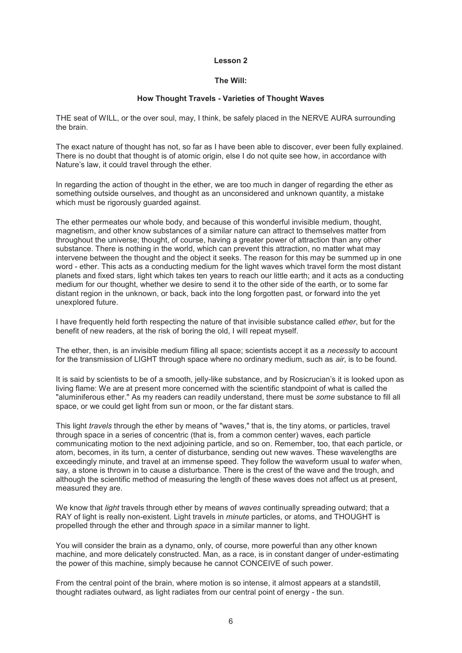### **The Will:**

## **How Thought Travels - Varieties of Thought Waves**

THE seat of WILL, or the over soul, may, I think, be safely placed in the NERVE AURA surrounding the brain.

The exact nature of thought has not, so far as I have been able to discover, ever been fully explained. There is no doubt that thought is of atomic origin, else I do not quite see how, in accordance with Nature's law, it could travel through the ether.

In regarding the action of thought in the ether, we are too much in danger of regarding the ether as something outside ourselves, and thought as an unconsidered and unknown quantity, a mistake which must be rigorously quarded against.

The ether permeates our whole body, and because of this wonderful invisible medium, thought, magnetism, and other know substances of a similar nature can attract to themselves matter from throughout the universe; thought, of course, having a greater power of attraction than any other substance. There is nothing in the world, which can prevent this attraction, no matter what may intervene between the thought and the object it seeks. The reason for this may be summed up in one word - ether. This acts as a conducting medium for the light waves which travel form the most distant planets and fixed stars, light which takes ten years to reach our little earth; and it acts as a conducting medium for our thought, whether we desire to send it to the other side of the earth, or to some far distant region in the unknown, or back, back into the long forgotten past, or forward into the yet unexplored future.

I have frequently held forth respecting the nature of that invisible substance called *ether*, but for the benefit of new readers, at the risk of boring the old, I will repeat myself.

The ether, then, is an invisible medium filling all space; scientists accept it as a *necessity* to account for the transmission of LIGHT through space where no ordinary medium, such as *air*, is to be found.

It is said by scientists to be of a smooth, jelly-like substance, and by Rosicrucian's it is looked upon as living flame: We are at present more concerned with the scientific standpoint of what is called the "aluminiferous ether." As my readers can readily understand, there must be *some* substance to fill all space, or we could get light from sun or moon, or the far distant stars.

This light *travels* through the ether by means of "waves," that is, the tiny atoms, or particles, travel through space in a series of concentric (that is, from a common center) waves, each particle communicating motion to the next adjoining particle, and so on. Remember, too, that each particle, or atom, becomes, in its turn, a center of disturbance, sending out new waves. These wavelengths are exceedingly minute, and travel at an immense speed. They follow the waveform usual to *water* when, say, a stone is thrown in to cause a disturbance. There is the crest of the wave and the trough, and although the scientific method of measuring the length of these waves does not affect us at present, measured they are.

We know that *light* travels through ether by means of *waves* continually spreading outward; that a RAY of light is really non-existent. Light travels in *minute* particles, or atoms, and THOUGHT is propelled through the ether and through *space* in a similar manner to light.

You will consider the brain as a dynamo, only, of course, more powerful than any other known machine, and more delicately constructed. Man, as a race, is in constant danger of under-estimating the power of this machine, simply because he cannot CONCEIVE of such power.

From the central point of the brain, where motion is so intense, it almost appears at a standstill, thought radiates outward, as light radiates from our central point of energy - the sun.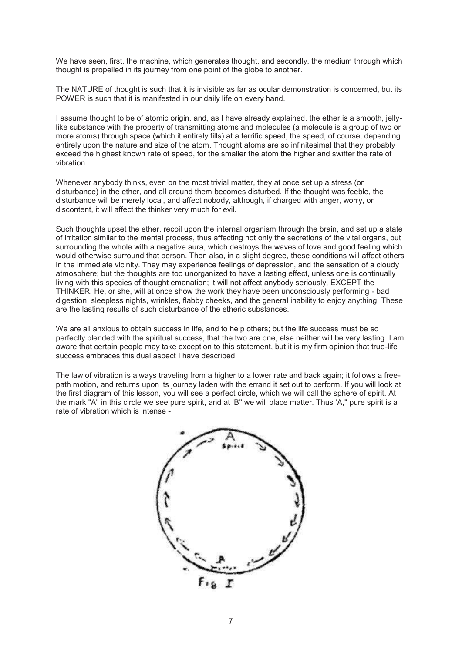We have seen, first, the machine, which generates thought, and secondly, the medium through which thought is propelled in its journey from one point of the globe to another.

The NATURE of thought is such that it is invisible as far as ocular demonstration is concerned, but its POWER is such that it is manifested in our daily life on every hand.

I assume thought to be of atomic origin, and, as I have already explained, the ether is a smooth, jellylike substance with the property of transmitting atoms and molecules (a molecule is a group of two or more atoms) through space (which it entirely fills) at a terrific speed, the speed, of course, depending entirely upon the nature and size of the atom. Thought atoms are so infinitesimal that they probably exceed the highest known rate of speed, for the smaller the atom the higher and swifter the rate of vibration.

Whenever anybody thinks, even on the most trivial matter, they at once set up a stress (or disturbance) in the ether, and all around them becomes disturbed. If the thought was feeble, the disturbance will be merely local, and affect nobody, although, if charged with anger, worry, or discontent, it will affect the thinker very much for evil.

Such thoughts upset the ether, recoil upon the internal organism through the brain, and set up a state of irritation similar to the mental process, thus affecting not only the secretions of the vital organs, but surrounding the whole with a negative aura, which destroys the waves of love and good feeling which would otherwise surround that person. Then also, in a slight degree, these conditions will affect others in the immediate vicinity. They may experience feelings of depression, and the sensation of a cloudy atmosphere; but the thoughts are too unorganized to have a lasting effect, unless one is continually living with this species of thought emanation; it will not affect anybody seriously, EXCEPT the THINKER. He, or she, will at once show the work they have been unconsciously performing - bad digestion, sleepless nights, wrinkles, flabby cheeks, and the general inability to enjoy anything. These are the lasting results of such disturbance of the etheric substances.

We are all anxious to obtain success in life, and to help others; but the life success must be so perfectly blended with the spiritual success, that the two are one, else neither will be very lasting. I am aware that certain people may take exception to this statement, but it is my firm opinion that true-life success embraces this dual aspect I have described.

The law of vibration is always traveling from a higher to a lower rate and back again; it follows a freepath motion, and returns upon its journey laden with the errand it set out to perform. If you will look at the first diagram of this lesson, you will see a perfect circle, which we will call the sphere of spirit. At the mark "A" in this circle we see pure spirit, and at 'B" we will place matter. Thus 'A," pure spirit is a rate of vibration which is intense -

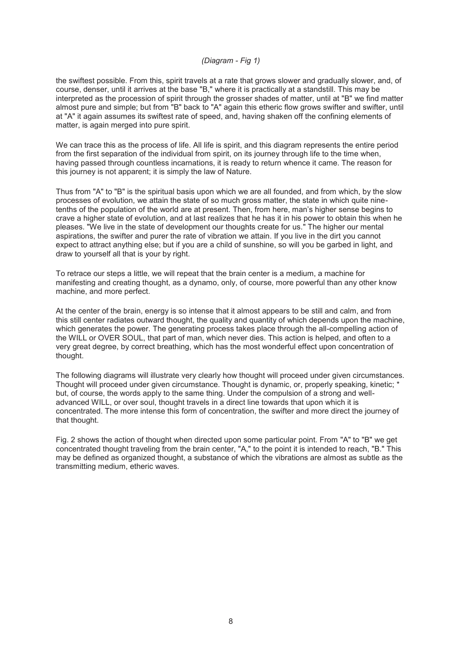#### *(Diagram - Fig 1)*

the swiftest possible. From this, spirit travels at a rate that grows slower and gradually slower, and, of course, denser, until it arrives at the base "B," where it is practically at a standstill. This may be interpreted as the procession of spirit through the grosser shades of matter, until at "B" we find matter almost pure and simple; but from "B" back to "A" again this etheric flow grows swifter and swifter, until at "A" it again assumes its swiftest rate of speed, and, having shaken off the confining elements of matter, is again merged into pure spirit.

We can trace this as the process of life. All life is spirit, and this diagram represents the entire period from the first separation of the individual from spirit, on its journey through life to the time when, having passed through countless incarnations, it is ready to return whence it came. The reason for this journey is not apparent; it is simply the law of Nature.

Thus from "A" to "B" is the spiritual basis upon which we are all founded, and from which, by the slow processes of evolution, we attain the state of so much gross matter, the state in which quite ninetenths of the population of the world are at present. Then, from here, man's higher sense begins to crave a higher state of evolution, and at last realizes that he has it in his power to obtain this when he pleases. "We live in the state of development our thoughts create for us." The higher our mental aspirations, the swifter and purer the rate of vibration we attain. If you live in the dirt you cannot expect to attract anything else; but if you are a child of sunshine, so will you be garbed in light, and draw to yourself all that is your by right.

To retrace our steps a little, we will repeat that the brain center is a medium, a machine for manifesting and creating thought, as a dynamo, only, of course, more powerful than any other know machine, and more perfect.

At the center of the brain, energy is so intense that it almost appears to be still and calm, and from this still center radiates outward thought, the quality and quantity of which depends upon the machine, which generates the power. The generating process takes place through the all-compelling action of the WILL or OVER SOUL, that part of man, which never dies. This action is helped, and often to a very great degree, by correct breathing, which has the most wonderful effect upon concentration of thought.

The following diagrams will illustrate very clearly how thought will proceed under given circumstances. Thought will proceed under given circumstance. Thought is dynamic, or, properly speaking, kinetic; \* but, of course, the words apply to the same thing. Under the compulsion of a strong and welladvanced WILL, or over soul, thought travels in a direct line towards that upon which it is concentrated. The more intense this form of concentration, the swifter and more direct the journey of that thought.

Fig. 2 shows the action of thought when directed upon some particular point. From "A" to "B" we get concentrated thought traveling from the brain center, "A," to the point it is intended to reach, "B." This may be defined as organized thought, a substance of which the vibrations are almost as subtle as the transmitting medium, etheric waves.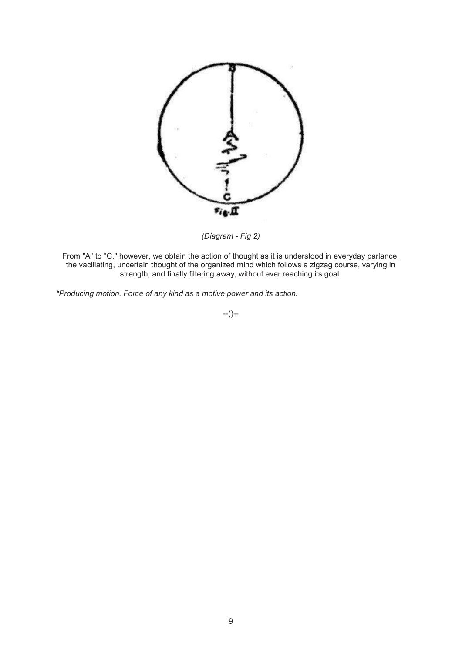

*(Diagram - Fig 2)*

From "A" to "C," however, we obtain the action of thought as it is understood in everyday parlance, the vacillating, uncertain thought of the organized mind which follows a zigzag course, varying in strength, and finally filtering away, without ever reaching its goal.

*\*Producing motion. Force of any kind as a motive power and its action.*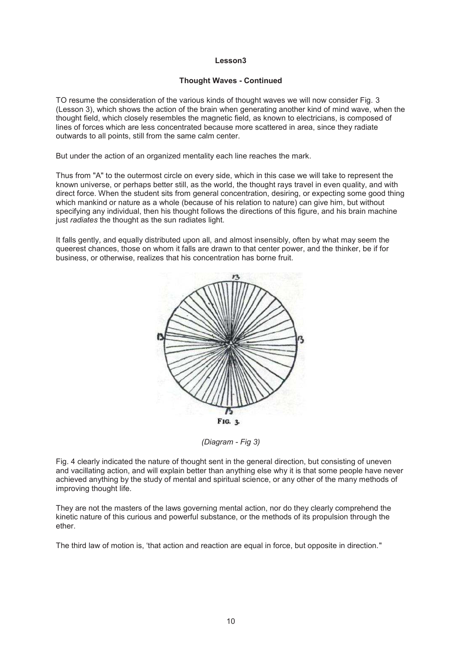#### **Thought Waves - Continued**

TO resume the consideration of the various kinds of thought waves we will now consider Fig. 3 (Lesson 3), which shows the action of the brain when generating another kind of mind wave, when the thought field, which closely resembles the magnetic field, as known to electricians, is composed of lines of forces which are less concentrated because more scattered in area, since they radiate outwards to all points, still from the same calm center.

But under the action of an organized mentality each line reaches the mark.

Thus from "A" to the outermost circle on every side, which in this case we will take to represent the known universe, or perhaps better still, as the world, the thought rays travel in even quality, and with direct force. When the student sits from general concentration, desiring, or expecting some good thing which mankind or nature as a whole (because of his relation to nature) can give him, but without specifying any individual, then his thought follows the directions of this figure, and his brain machine just *radiates* the thought as the sun radiates light.

It falls gently, and equally distributed upon all, and almost insensibly, often by what may seem the queerest chances, those on whom it falls are drawn to that center power, and the thinker, be if for business, or otherwise, realizes that his concentration has borne fruit.



*(Diagram - Fig 3)*

Fig. 4 clearly indicated the nature of thought sent in the general direction, but consisting of uneven and vacillating action, and will explain better than anything else why it is that some people have never achieved anything by the study of mental and spiritual science, or any other of the many methods of improving thought life.

They are not the masters of the laws governing mental action, nor do they clearly comprehend the kinetic nature of this curious and powerful substance, or the methods of its propulsion through the ether.

The third law of motion is, 'that action and reaction are equal in force, but opposite in direction."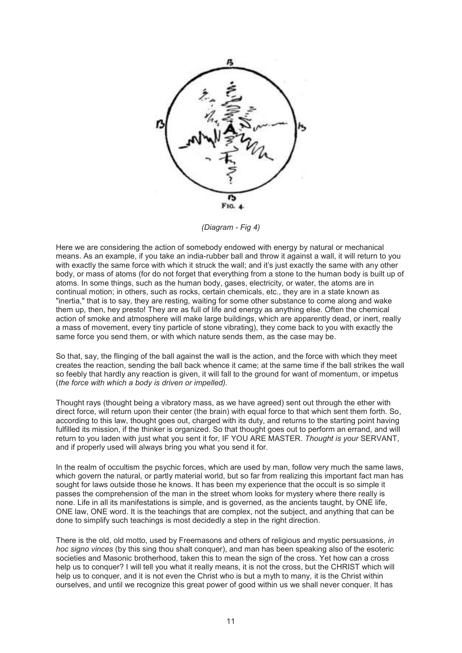

*(Diagram - Fig 4)* 

Here we are considering the action of somebody endowed with energy by natural or mechanical means. As an example, if you take an india-rubber ball and throw it against a wall, it will return to you with exactly the same force with which it struck the wall; and it's just exactly the same with any other body, or mass of atoms (for do not forget that everything from a stone to the human body is built up of atoms. In some things, such as the human body, gases, electricity, or water, the atoms are in continual motion; in others, such as rocks, certain chemicals, etc., they are in a state known as "inertia," that is to say, they are resting, waiting for some other substance to come along and wake them up, then, hey presto! They are as full of life and energy as anything else. Often the chemical action of smoke and atmosphere will make large buildings, which are apparently dead, or inert, really a mass of movement, every tiny particle of stone vibrating), they come back to you with exactly the same force you send them, or with which nature sends them, as the case may be.

So that, say, the flinging of the ball against the wall is the action, and the force with which they meet creates the reaction, sending the ball back whence it came; at the same time if the ball strikes the wall so feebly that hardly any reaction is given, it will fall to the ground for want of momentum, or impetus (*the force with which a body is driven or impelled).*

Thought rays (thought being a vibratory mass, as we have agreed) sent out through the ether with direct force, will return upon their center (the brain) with equal force to that which sent them forth. So, according to this law, thought goes out, charged with its duty, and returns to the starting point having fulfilled its mission, if the thinker is organized. So that thought goes out to perform an errand, and will return to you laden with just what you sent it for, IF YOU ARE MASTER. *Thought is your* SERVANT, and if properly used will always bring you what you send it for.

In the realm of occultism the psychic forces, which are used by man, follow very much the same laws, which govern the natural, or partly material world, but so far from realizing this important fact man has sought for laws outside those he knows. It has been my experience that the occult is so simple it passes the comprehension of the man in the street whom looks for mystery where there really is none. Life in all its manifestations is simple, and is governed, as the ancients taught, by ONE life, ONE law, ONE word. It is the teachings that are complex, not the subject, and anything that can be done to simplify such teachings is most decidedly a step in the right direction.

There is the old, old motto, used by Freemasons and others of religious and mystic persuasions, *in hoc signo vinces* (by this sing thou shalt conquer), and man has been speaking also of the esoteric societies and Masonic brotherhood, taken this to mean the sign of the cross. Yet how can a cross help us to conquer? I will tell you what it really means, it is not the cross, but the CHRIST which will help us to conquer, and it is not even the Christ who is but a myth to many, it is the Christ within ourselves, and until we recognize this great power of good within us we shall never conquer. It has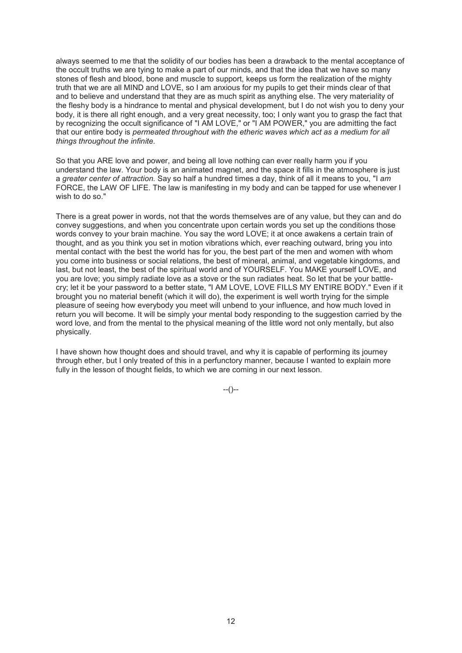always seemed to me that the solidity of our bodies has been a drawback to the mental acceptance of the occult truths we are tying to make a part of our minds, and that the idea that we have so many stones of flesh and blood, bone and muscle to support, keeps us form the realization of the mighty truth that we are all MIND and LOVE, so I am anxious for my pupils to get their minds clear of that and to believe and understand that they are as much spirit as anything else. The very materiality of the fleshy body is a hindrance to mental and physical development, but I do not wish you to deny your body, it is there all right enough, and a very great necessity, too; I only want you to grasp the fact that by recognizing the occult significance of "I AM LOVE," or "I AM POWER," you are admitting the fact that our entire body is *permeated throughout with the etheric waves which act as a medium for all things throughout the infinite.* 

So that you ARE love and power, and being all love nothing can ever really harm you if you understand the law. Your body is an animated magnet, and the space it fills in the atmosphere is just a *greater center of attraction.* Say so half a hundred times a day, think of all it means to you, "I *am* FORCE, the LAW OF LIFE. The law is manifesting in my body and can be tapped for use whenever I wish to do so."

There is a great power in words, not that the words themselves are of any value, but they can and do convey suggestions, and when you concentrate upon certain words you set up the conditions those words convey to your brain machine. You say the word LOVE; it at once awakens a certain train of thought, and as you think you set in motion vibrations which, ever reaching outward, bring you into mental contact with the best the world has for you, the best part of the men and women with whom you come into business or social relations, the best of mineral, animal, and vegetable kingdoms, and last, but not least, the best of the spiritual world and of YOURSELF. You MAKE yourself LOVE, and you are love; you simply radiate love as a stove or the sun radiates heat. So let that be your battlecry; let it be your password to a better state, "I AM LOVE, LOVE FILLS MY ENTIRE BODY." Even if it brought you no material benefit (which it will do), the experiment is well worth trying for the simple pleasure of seeing how everybody you meet will unbend to your influence, and how much loved in return you will become. It will be simply your mental body responding to the suggestion carried by the word love, and from the mental to the physical meaning of the little word not only mentally, but also physically.

I have shown how thought does and should travel, and why it is capable of performing its journey through ether, but I only treated of this in a perfunctory manner, because I wanted to explain more fully in the lesson of thought fields, to which we are coming in our next lesson.

 $-(-)$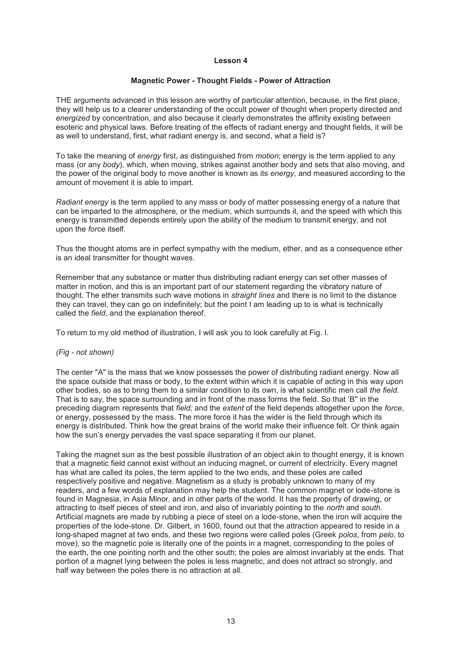### **Magnetic Power - Thought Fields - Power of Attraction**

THE arguments advanced in this lesson are worthy of particular attention, because, in the first place, they will help us to a clearer understanding of the occult power of thought when properly directed and *energized* by concentration, and also because it clearly demonstrates the affinity existing between esoteric and physical laws. Before treating of the effects of radiant energy and thought fields, it will be as well to understand, first, what radiant energy is, and second, what a field is?

To take the meaning of *energy* first, as distinguished from *motion*; energy is the term applied to any mass (or any *body*), which, when moving, strikes against another body and sets that also moving, and the power of the original body to move another is known as its *energy*, and measured according to the amount of movement it is able to impart.

*Radiant energy* is the term applied to any mass or body of matter possessing energy of a nature that can be imparted to the atmosphere, or the medium, which surrounds it, and the speed with which this energy is transmitted depends entirely upon the ability of the medium to transmit energy, and not upon the *force* itself.

Thus the thought atoms are in perfect sympathy with the medium, ether, and as a consequence ether is an ideal transmitter for thought waves.

Remember that any substance or matter thus distributing radiant energy can set other masses of matter in motion, and this is an important part of our statement regarding the vibratory nature of thought. The ether transmits such wave motions in *straight lines* and there is no limit to the distance they can travel, they can go on indefinitely; but the point I am leading up to is what is technically called the *field,* and the explanation thereof.

To return to my old method of illustration, I will ask you to look carefully at Fig. I.

#### *(Fig - not shown)*

The center "A" is the mass that we know possesses the power of distributing radiant energy. Now all the space outside that mass or body, to the extent within which it is capable of acting in this way upon other bodies, so as to bring them to a similar condition to its own, is what scientific men call *the field*. That is to say, the space surrounding and in front of the mass forms the field. So that 'B" in the preceding diagram represents that *field;* and the *extent* of the field depends altogether upon the *force*, or energy, possessed by the mass. The more force it has the wider is the field through which its energy is distributed. Think how the great brains of the world make their influence felt. Or think again how the sun's energy pervades the vast space separating it from our planet.

Taking the magnet sun as the best possible illustration of an object akin to thought energy, it is known that a magnetic field cannot exist without an inducing magnet, or current of electricity. Every magnet has what are called its poles, the term applied to the two ends, and these poles are called respectively positive and negative. Magnetism as a study is probably unknown to many of my readers, and a few words of explanation may help the student. The common magnet or lode-stone is found in Magnesia, in Asia Minor, and in other parts of the world. It has the property of drawing, or attracting to itself pieces of steel and iron, and also of invariably pointing to the *north* and *south.*  Artificial magnets are made by rubbing a piece of steel on a lode-stone, when the iron will acquire the properties of the lode-stone. Dr. Gilbert, in 1600, found out that the attraction appeared to reside in a long-shaped magnet at two ends, and these two regions were called poles (Greek *polos*, from *pelo*, to move), so the magnetic pole is literally one of the points in a magnet, corresponding to the poles of the earth, the one pointing north and the other south; the poles are almost invariably at the ends. That portion of a magnet lying between the poles is less magnetic, and does not attract so strongly, and half way between the poles there is no attraction at all.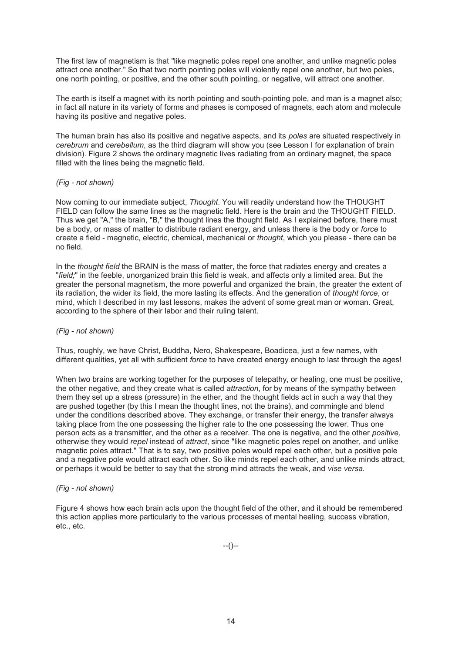The first law of magnetism is that "like magnetic poles repel one another, and unlike magnetic poles attract one another." So that two north pointing poles will violently repel one another, but two poles, one north pointing, or positive, and the other south pointing, or negative, will attract one another.

The earth is itself a magnet with its north pointing and south-pointing pole, and man is a magnet also; in fact all nature in its variety of forms and phases is composed of magnets, each atom and molecule having its positive and negative poles.

The human brain has also its positive and negative aspects, and its *poles* are situated respectively in *cerebrum* and *cerebellum*, as the third diagram will show you (see Lesson I for explanation of brain division). Figure 2 shows the ordinary magnetic lives radiating from an ordinary magnet, the space filled with the lines being the magnetic field.

### *(Fig - not shown)*

Now coming to our immediate subject, *Thought*. You will readily understand how the THOUGHT FIELD can follow the same lines as the magnetic field. Here is the brain and the THOUGHT FIELD. Thus we get "A," the brain, "B," the thought lines the thought field. As I explained before, there must be a body, or mass of matter to distribute radiant energy, and unless there is the body or *force* to create a field - magnetic, electric, chemical, mechanical or *thought*, which you please - there can be no field.

In the *thought field* the BRAIN is the mass of matter, the force that radiates energy and creates a "*field;*" in the feeble, unorganized brain this field is weak, and affects only a limited area. But the greater the personal magnetism, the more powerful and organized the brain, the greater the extent of its radiation, the wider its field, the more lasting its effects. And the generation of *thought force*, or mind, which I described in my last lessons, makes the advent of some great man or woman. Great, according to the sphere of their labor and their ruling talent.

## *(Fig - not shown)*

Thus, roughly, we have Christ, Buddha, Nero, Shakespeare, Boadicea, just a few names, with different qualities, yet all with sufficient *force* to have created energy enough to last through the ages!

When two brains are working together for the purposes of telepathy, or healing, one must be positive, the other negative, and they create what is called *attraction*, for by means of the sympathy between them they set up a stress (pressure) in the ether, and the thought fields act in such a way that they are pushed together (by this I mean the thought lines, not the brains), and commingle and blend under the conditions described above. They exchange, or transfer their energy, the transfer always taking place from the one possessing the higher rate to the one possessing the lower. Thus one person acts as a transmitter, and the other as a receiver. The one is negative, and the other *positive,* otherwise they would *repel* instead of *attract*, since "like magnetic poles repel on another, and unlike magnetic poles attract." That is to say, two positive poles would repel each other, but a positive pole and a negative pole would attract each other. So like minds repel each other, and unlike minds attract, or perhaps it would be better to say that the strong mind attracts the weak, and *vise versa.*

## *(Fig - not shown)*

Figure 4 shows how each brain acts upon the thought field of the other, and it should be remembered this action applies more particularly to the various processes of mental healing, success vibration, etc., etc.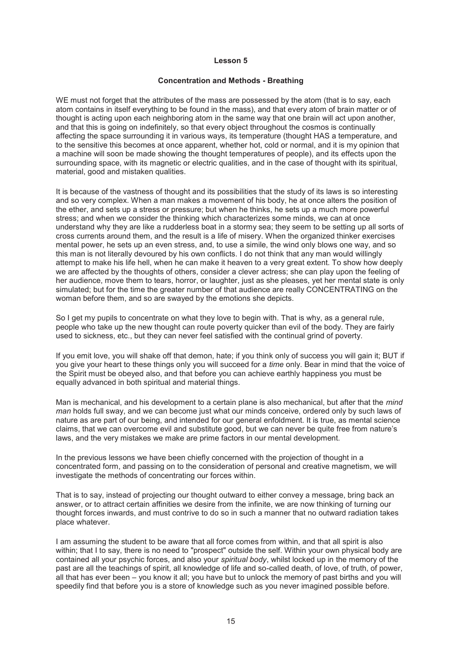#### **Concentration and Methods - Breathing**

WE must not forget that the attributes of the mass are possessed by the atom (that is to say, each atom contains in itself everything to be found in the mass), and that every atom of brain matter or of thought is acting upon each neighboring atom in the same way that one brain will act upon another, and that this is going on indefinitely, so that every object throughout the cosmos is continually affecting the space surrounding it in various ways, its temperature (thought HAS a temperature, and to the sensitive this becomes at once apparent, whether hot, cold or normal, and it is my opinion that a machine will soon be made showing the thought temperatures of people), and its effects upon the surrounding space, with its magnetic or electric qualities, and in the case of thought with its spiritual, material, good and mistaken qualities.

It is because of the vastness of thought and its possibilities that the study of its laws is so interesting and so very complex. When a man makes a movement of his body, he at once alters the position of the ether, and sets up a stress or pressure; but when he thinks, he sets up a much more powerful stress; and when we consider the thinking which characterizes some minds, we can at once understand why they are like a rudderless boat in a stormy sea; they seem to be setting up all sorts of cross currents around them, and the result is a life of misery. When the organized thinker exercises mental power, he sets up an even stress, and, to use a simile, the wind only blows one way, and so this man is not literally devoured by his own conflicts. I do not think that any man would willingly attempt to make his life hell, when he can make it heaven to a very great extent. To show how deeply we are affected by the thoughts of others, consider a clever actress; she can play upon the feeling of her audience, move them to tears, horror, or laughter, just as she pleases, yet her mental state is only simulated; but for the time the greater number of that audience are really CONCENTRATING on the woman before them, and so are swayed by the emotions she depicts.

So I get my pupils to concentrate on what they love to begin with. That is why, as a general rule, people who take up the new thought can route poverty quicker than evil of the body. They are fairly used to sickness, etc., but they can never feel satisfied with the continual grind of poverty.

If you emit love, you will shake off that demon, hate; if you think only of success you will gain it; BUT if you give your heart to these things only you will succeed for a *time* only. Bear in mind that the voice of the Spirit must be obeyed also, and that before you can achieve earthly happiness you must be equally advanced in both spiritual and material things.

Man is mechanical, and his development to a certain plane is also mechanical, but after that the *mind man* holds full sway, and we can become just what our minds conceive, ordered only by such laws of nature as are part of our being, and intended for our general enfoldment. It is true, as mental science claims, that we can overcome evil and substitute good, but we can never be quite free from nature's laws, and the very mistakes we make are prime factors in our mental development.

In the previous lessons we have been chiefly concerned with the projection of thought in a concentrated form, and passing on to the consideration of personal and creative magnetism, we will investigate the methods of concentrating our forces within.

That is to say, instead of projecting our thought outward to either convey a message, bring back an answer, or to attract certain affinities we desire from the infinite, we are now thinking of turning our thought forces inwards, and must contrive to do so in such a manner that no outward radiation takes place whatever.

I am assuming the student to be aware that all force comes from within, and that all spirit is also within; that I to say, there is no need to "prospect" outside the self. Within your own physical body are contained all your psychic forces, and also your *spiritual body*, whilst locked up in the memory of the past are all the teachings of spirit, all knowledge of life and so-called death, of love, of truth, of power, all that has ever been – you know it all; you have but to unlock the memory of past births and you will speedily find that before you is a store of knowledge such as you never imagined possible before.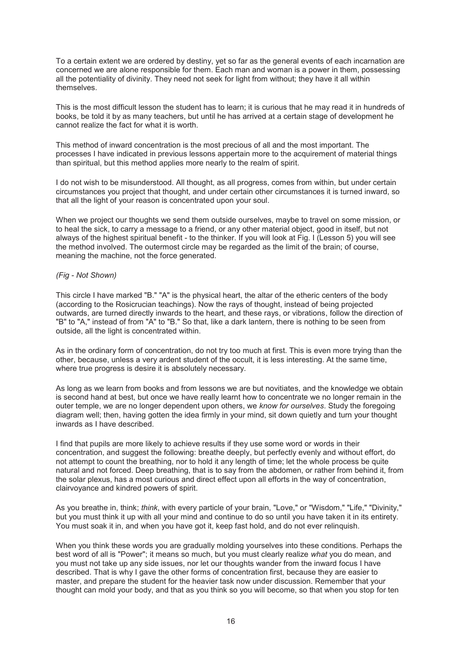To a certain extent we are ordered by destiny, yet so far as the general events of each incarnation are concerned we are alone responsible for them. Each man and woman is a power in them, possessing all the potentiality of divinity. They need not seek for light from without; they have it all within themselves.

This is the most difficult lesson the student has to learn; it is curious that he may read it in hundreds of books, be told it by as many teachers, but until he has arrived at a certain stage of development he cannot realize the fact for what it is worth.

This method of inward concentration is the most precious of all and the most important. The processes I have indicated in previous lessons appertain more to the acquirement of material things than spiritual, but this method applies more nearly to the realm of spirit.

I do not wish to be misunderstood. All thought, as all progress, comes from within, but under certain circumstances you project that thought, and under certain other circumstances it is turned inward, so that all the light of your reason is concentrated upon your soul.

When we project our thoughts we send them outside ourselves, maybe to travel on some mission, or to heal the sick, to carry a message to a friend, or any other material object, good in itself, but not always of the highest spiritual benefit - to the thinker. If you will look at Fig. I (Lesson 5) you will see the method involved. The outermost circle may be regarded as the limit of the brain; of course, meaning the machine, not the force generated.

### *(Fig - Not Shown)*

This circle I have marked "B." "A" is the physical heart, the altar of the etheric centers of the body (according to the Rosicrucian teachings). Now the rays of thought, instead of being projected outwards, are turned directly inwards to the heart, and these rays, or vibrations, follow the direction of "B" to "A," instead of from "A" to "B." So that, like a dark lantern, there is nothing to be seen from outside, all the light is concentrated within.

As in the ordinary form of concentration, do not try too much at first. This is even more trying than the other, because, unless a very ardent student of the occult, it is less interesting. At the same time, where true progress is desire it is absolutely necessary.

As long as we learn from books and from lessons we are but novitiates, and the knowledge we obtain is second hand at best, but once we have really learnt how to concentrate we no longer remain in the outer temple, we are no longer dependent upon others, we *know for ourselves*. Study the foregoing diagram well; then, having gotten the idea firmly in your mind, sit down quietly and turn your thought inwards as I have described.

I find that pupils are more likely to achieve results if they use some word or words in their concentration, and suggest the following: breathe deeply, but perfectly evenly and without effort, do not attempt to count the breathing, nor to hold it any length of time; let the whole process be quite natural and not forced. Deep breathing, that is to say from the abdomen, or rather from behind it, from the solar plexus, has a most curious and direct effect upon all efforts in the way of concentration, clairvoyance and kindred powers of spirit.

As you breathe in, think; *think*, with every particle of your brain, "Love," or "Wisdom," "Life," "Divinity," but you must think it up with all your mind and continue to do so until you have taken it in its entirety. You must soak it in, and when you have got it, keep fast hold, and do not ever relinquish.

When you think these words you are gradually molding yourselves into these conditions. Perhaps the best word of all is "Power"; it means so much, but you must clearly realize *what* you do mean, and you must not take up any side issues, nor let our thoughts wander from the inward focus I have described. That is why I gave the other forms of concentration first, because they are easier to master, and prepare the student for the heavier task now under discussion. Remember that your thought can mold your body, and that as you think so you will become, so that when you stop for ten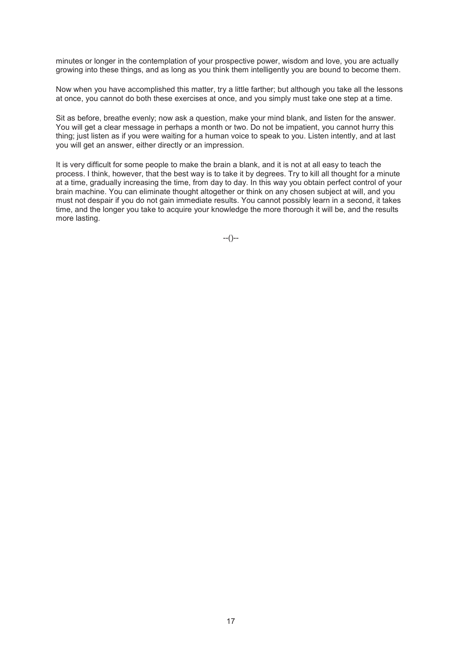minutes or longer in the contemplation of your prospective power, wisdom and love, you are actually growing into these things, and as long as you think them intelligently you are bound to become them.

Now when you have accomplished this matter, try a little farther; but although you take all the lessons at once, you cannot do both these exercises at once, and you simply must take one step at a time.

Sit as before, breathe evenly; now ask a question, make your mind blank, and listen for the answer. You will get a clear message in perhaps a month or two. Do not be impatient, you cannot hurry this thing; just listen as if you were waiting for a human voice to speak to you. Listen intently, and at last you will get an answer, either directly or an impression.

It is very difficult for some people to make the brain a blank, and it is not at all easy to teach the process. I think, however, that the best way is to take it by degrees. Try to kill all thought for a minute at a time, gradually increasing the time, from day to day. In this way you obtain perfect control of your brain machine. You can eliminate thought altogether or think on any chosen subject at will, and you must not despair if you do not gain immediate results. You cannot possibly learn in a second, it takes time, and the longer you take to acquire your knowledge the more thorough it will be, and the results more lasting.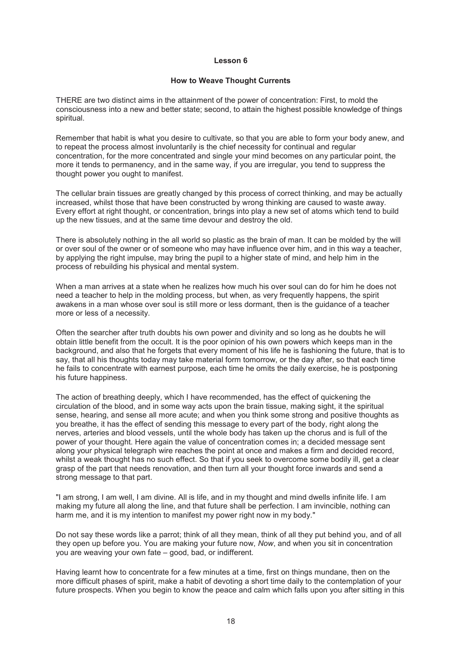### **How to Weave Thought Currents**

THERE are two distinct aims in the attainment of the power of concentration: First, to mold the consciousness into a new and better state; second, to attain the highest possible knowledge of things spiritual.

Remember that habit is what you desire to cultivate, so that you are able to form your body anew, and to repeat the process almost involuntarily is the chief necessity for continual and regular concentration, for the more concentrated and single your mind becomes on any particular point, the more it tends to permanency, and in the same way, if you are irregular, you tend to suppress the thought power you ought to manifest.

The cellular brain tissues are greatly changed by this process of correct thinking, and may be actually increased, whilst those that have been constructed by wrong thinking are caused to waste away. Every effort at right thought, or concentration, brings into play a new set of atoms which tend to build up the new tissues, and at the same time devour and destroy the old.

There is absolutely nothing in the all world so plastic as the brain of man. It can be molded by the will or over soul of the owner or of someone who may have influence over him, and in this way a teacher, by applying the right impulse, may bring the pupil to a higher state of mind, and help him in the process of rebuilding his physical and mental system.

When a man arrives at a state when he realizes how much his over soul can do for him he does not need a teacher to help in the molding process, but when, as very frequently happens, the spirit awakens in a man whose over soul is still more or less dormant, then is the guidance of a teacher more or less of a necessity.

Often the searcher after truth doubts his own power and divinity and so long as he doubts he will obtain little benefit from the occult. It is the poor opinion of his own powers which keeps man in the background, and also that he forgets that every moment of his life he is fashioning the future, that is to say, that all his thoughts today may take material form tomorrow, or the day after, so that each time he fails to concentrate with earnest purpose, each time he omits the daily exercise, he is postponing his future happiness.

The action of breathing deeply, which I have recommended, has the effect of quickening the circulation of the blood, and in some way acts upon the brain tissue, making sight, it the spiritual sense, hearing, and sense all more acute; and when you think some strong and positive thoughts as you breathe, it has the effect of sending this message to every part of the body, right along the nerves, arteries and blood vessels, until the whole body has taken up the chorus and is full of the power of your thought. Here again the value of concentration comes in; a decided message sent along your physical telegraph wire reaches the point at once and makes a firm and decided record, whilst a weak thought has no such effect. So that if you seek to overcome some bodily ill, get a clear grasp of the part that needs renovation, and then turn all your thought force inwards and send a strong message to that part.

"I am strong, I am well, I am divine. All is life, and in my thought and mind dwells infinite life. I am making my future all along the line, and that future shall be perfection. I am invincible, nothing can harm me, and it is my intention to manifest my power right now in my body."

Do not say these words like a parrot; think of all they mean, think of all they put behind you, and of all they open up before you. You are making your future now, *Now*, and when you sit in concentration you are weaving your own fate – good, bad, or indifferent.

Having learnt how to concentrate for a few minutes at a time, first on things mundane, then on the more difficult phases of spirit, make a habit of devoting a short time daily to the contemplation of your future prospects. When you begin to know the peace and calm which falls upon you after sitting in this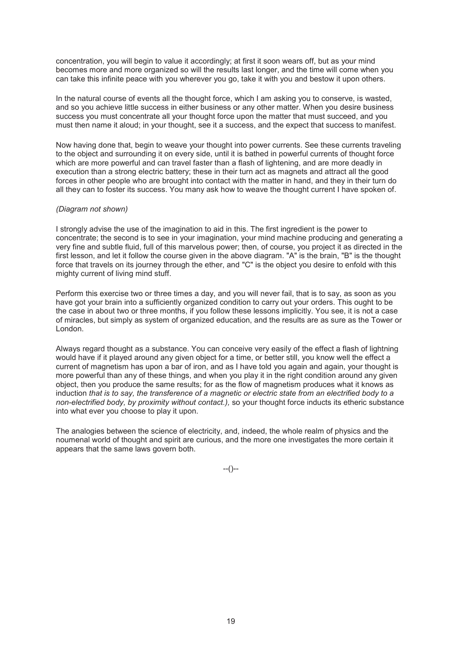concentration, you will begin to value it accordingly; at first it soon wears off, but as your mind becomes more and more organized so will the results last longer, and the time will come when you can take this infinite peace with you wherever you go, take it with you and bestow it upon others.

In the natural course of events all the thought force, which I am asking you to conserve, is wasted, and so you achieve little success in either business or any other matter. When you desire business success you must concentrate all your thought force upon the matter that must succeed, and you must then name it aloud; in your thought, see it a success, and the expect that success to manifest.

Now having done that, begin to weave your thought into power currents. See these currents traveling to the object and surrounding it on every side, until it is bathed in powerful currents of thought force which are more powerful and can travel faster than a flash of lightening, and are more deadly in execution than a strong electric battery; these in their turn act as magnets and attract all the good forces in other people who are brought into contact with the matter in hand, and they in their turn do all they can to foster its success. You many ask how to weave the thought current I have spoken of.

### *(Diagram not shown)*

I strongly advise the use of the imagination to aid in this. The first ingredient is the power to concentrate; the second is to see in your imagination, your mind machine producing and generating a very fine and subtle fluid, full of this marvelous power; then, of course, you project it as directed in the first lesson, and let it follow the course given in the above diagram. "A" is the brain, "B" is the thought force that travels on its journey through the ether, and "C" is the object you desire to enfold with this mighty current of living mind stuff.

Perform this exercise two or three times a day, and you will never fail, that is to say, as soon as you have got your brain into a sufficiently organized condition to carry out your orders. This ought to be the case in about two or three months, if you follow these lessons implicitly. You see, it is not a case of miracles, but simply as system of organized education, and the results are as sure as the Tower or London.

Always regard thought as a substance. You can conceive very easily of the effect a flash of lightning would have if it played around any given object for a time, or better still, you know well the effect a current of magnetism has upon a bar of iron, and as I have told you again and again, your thought is more powerful than any of these things, and when you play it in the right condition around any given object, then you produce the same results; for as the flow of magnetism produces what it knows as induction *that is to say, the transference of a magnetic or electric state from an electrified body to a non-electrified body, by proximity without contact.),* so your thought force inducts its etheric substance into what ever you choose to play it upon.

The analogies between the science of electricity, and, indeed, the whole realm of physics and the noumenal world of thought and spirit are curious, and the more one investigates the more certain it appears that the same laws govern both.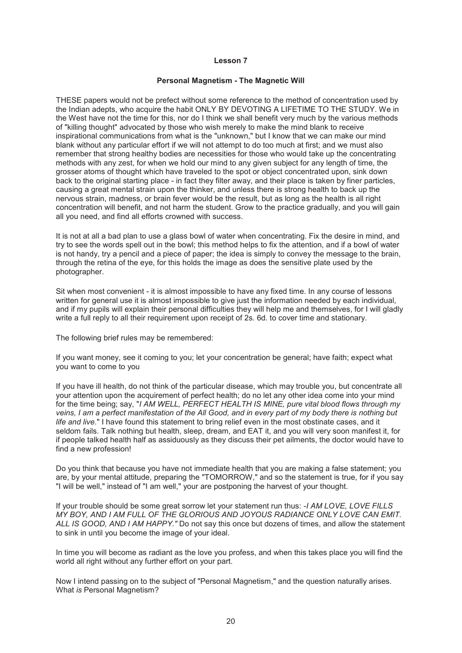#### **Personal Magnetism - The Magnetic Will**

THESE papers would not be prefect without some reference to the method of concentration used by the Indian adepts, who acquire the habit ONLY BY DEVOTING A LIFETIME TO THE STUDY. We in the West have not the time for this, nor do I think we shall benefit very much by the various methods of "killing thought" advocated by those who wish merely to make the mind blank to receive inspirational communications from what is the "unknown," but I know that we can make our mind blank without any particular effort if we will not attempt to do too much at first; and we must also remember that strong healthy bodies are necessities for those who would take up the concentrating methods with any zest, for when we hold our mind to any given subject for any length of time, the grosser atoms of thought which have traveled to the spot or object concentrated upon, sink down back to the original starting place - in fact they filter away, and their place is taken by finer particles, causing a great mental strain upon the thinker, and unless there is strong health to back up the nervous strain, madness, or brain fever would be the result, but as long as the health is all right concentration will benefit, and not harm the student. Grow to the practice gradually, and you will gain all you need, and find all efforts crowned with success.

It is not at all a bad plan to use a glass bowl of water when concentrating. Fix the desire in mind, and try to see the words spell out in the bowl; this method helps to fix the attention, and if a bowl of water is not handy, try a pencil and a piece of paper; the idea is simply to convey the message to the brain, through the retina of the eye, for this holds the image as does the sensitive plate used by the photographer.

Sit when most convenient - it is almost impossible to have any fixed time. In any course of lessons written for general use it is almost impossible to give just the information needed by each individual, and if my pupils will explain their personal difficulties they will help me and themselves, for I will gladly write a full reply to all their requirement upon receipt of 2s. 6d. to cover time and stationary.

The following brief rules may be remembered:

If you want money, see it coming to you; let your concentration be general; have faith; expect what you want to come to you

If you have ill health, do not think of the particular disease, which may trouble you, but concentrate all your attention upon the acquirement of perfect health; do no let any other idea come into your mind for the time being; say, "*I AM WELL, PERFECT HEALTH IS MINE, pure vital blood flows through my veins, I am a perfect manifestation of the All Good, and in every part of my body there is nothing but life and live.*" I have found this statement to bring relief even in the most obstinate cases, and it seldom fails. Talk nothing but health, sleep, dream, and EAT it, and you will very soon manifest it, for if people talked health half as assiduously as they discuss their pet ailments, the doctor would have to find a new profession!

Do you think that because you have not immediate health that you are making a false statement; you are, by your mental attitude, preparing the "TOMORROW," and so the statement is true, for if you say "I will be well," instead of "I am well," your are postponing the harvest of your thought.

If your trouble should be some great sorrow let your statement run thus: -*I AM LOVE, LOVE FILLS MY BOY, AND I AM FULL OF THE GLORIOUS AND JOYOUS RADIANCE ONLY LOVE CAN EMIT. ALL IS GOOD, AND I AM HAPPY."* Do not say this once but dozens of times, and allow the statement to sink in until you become the image of your ideal.

In time you will become as radiant as the love you profess, and when this takes place you will find the world all right without any further effort on your part.

Now I intend passing on to the subject of "Personal Magnetism," and the question naturally arises. What *is* Personal Magnetism?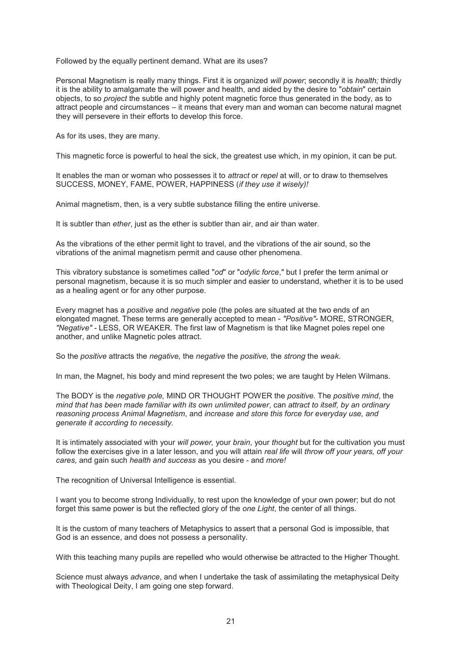Followed by the equally pertinent demand. What are its uses?

Personal Magnetism is really many things. First it is organized *will power*; secondly it is *health;* thirdly it is the ability to amalgamate the will power and health, and aided by the desire to "*obtain*" certain objects, to so *project* the subtle and highly potent magnetic force thus generated in the body, as to attract people and circumstances – it means that every man and woman can become natural magnet they will persevere in their efforts to develop this force.

As for its uses, they are many.

This magnetic force is powerful to heal the sick, the greatest use which, in my opinion, it can be put.

It enables the man or woman who possesses it to *attract* or *repel* at will, or to draw to themselves SUCCESS, MONEY, FAME, POWER, HAPPINESS (*if they use it wisely)!*

Animal magnetism, then, is a very subtle substance filling the entire universe.

It is subtler than *ether*, just as the ether is subtler than air, and air than water.

As the vibrations of the ether permit light to travel, and the vibrations of the air sound, so the vibrations of the animal magnetism permit and cause other phenomena.

This vibratory substance is sometimes called "*od*" or "*odylic force*," but I prefer the term animal or personal magnetism, because it is so much simpler and easier to understand, whether it is to be used as a healing agent or for any other purpose.

Every magnet has a *positive* and *negative* pole (the poles are situated at the two ends of an elongated magnet. These terms are generally accepted to mean - *"Positive"*- MORE, STRONGER, *"Negative" -* LESS, OR WEAKER*.* The first law of Magnetism is that like Magnet poles repel one another, and unlike Magnetic poles attract.

So the *positive* attracts the *negative,* the *negative* the *positive,* the *strong* the *weak*.

In man, the Magnet, his body and mind represent the two poles; we are taught by Helen Wilmans.

The BODY is the *negative pole,* MIND OR THOUGHT POWER the *positive.* The *positive mind*, the *mind that has been made familiar with its own unlimited power*, can *attract to itself, by an ordinary reasoning process Animal Magnetism*, and *increase and store this force for everyday use, and generate it according to necessity.*

It is intimately associated with your *will power,* your *brain*, your *thought* but for the cultivation you must follow the exercises give in a later lesson, and you will attain *real life* will *throw off your years, off your cares,* and gain such *health and success* as you desire - and *more!* 

The recognition of Universal Intelligence is essential.

I want you to become strong Individually, to rest upon the knowledge of your own power; but do not forget this same power is but the reflected glory of the *one Light*, the center of all things.

It is the custom of many teachers of Metaphysics to assert that a personal God is impossible, that God is an essence, and does not possess a personality.

With this teaching many pupils are repelled who would otherwise be attracted to the Higher Thought.

Science must always *advance*, and when I undertake the task of assimilating the metaphysical Deity with Theological Deity, I am going one step forward.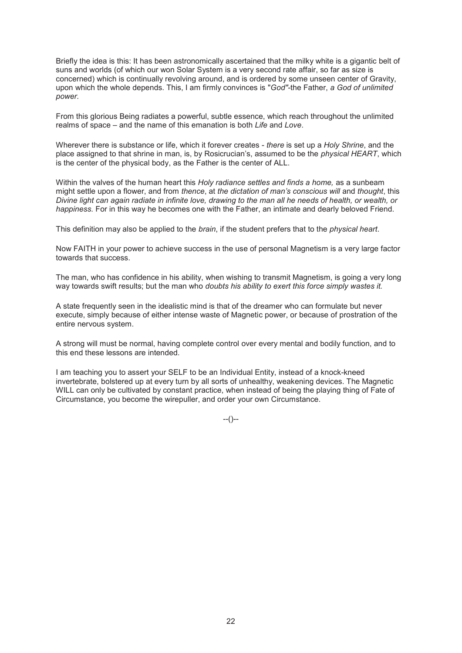Briefly the idea is this: It has been astronomically ascertained that the milky white is a gigantic belt of suns and worlds (of which our won Solar System is a very second rate affair, so far as size is concerned) which is continually revolving around, and is ordered by some unseen center of Gravity, upon which the whole depends. This, I am firmly convinces is "*God"-*the Father, *a God of unlimited power.*

From this glorious Being radiates a powerful, subtle essence, which reach throughout the unlimited realms of space – and the name of this emanation is both *Life* and *Love*.

Wherever there is substance or life, which it forever creates - *there* is set up a *Holy Shrine*, and the place assigned to that shrine in man, is, by Rosicrucian's, assumed to be the *physical HEART*, which is the center of the physical body, as the Father is the center of ALL.

Within the valves of the human heart this *Holy radiance settles and finds a home,* as a sunbeam might settle upon a flower, and from *thence*, at *the dictation of man's conscious will* and *thought*, this *Divine light can again radiate in infinite love, drawing to the man all he needs of health, or wealth, or happiness.* For in this way he becomes one with the Father, an intimate and dearly beloved Friend.

This definition may also be applied to the *brain*, if the student prefers that to the *physical heart*.

Now FAITH in your power to achieve success in the use of personal Magnetism is a very large factor towards that success.

The man, who has confidence in his ability, when wishing to transmit Magnetism, is going a very long way towards swift results; but the man who *doubts his ability to exert this force simply wastes it.*

A state frequently seen in the idealistic mind is that of the dreamer who can formulate but never execute, simply because of either intense waste of Magnetic power, or because of prostration of the entire nervous system.

A strong will must be normal, having complete control over every mental and bodily function, and to this end these lessons are intended.

I am teaching you to assert your SELF to be an Individual Entity, instead of a knock-kneed invertebrate, bolstered up at every turn by all sorts of unhealthy, weakening devices. The Magnetic WILL can only be cultivated by constant practice, when instead of being the playing thing of Fate of Circumstance, you become the wirepuller, and order your own Circumstance.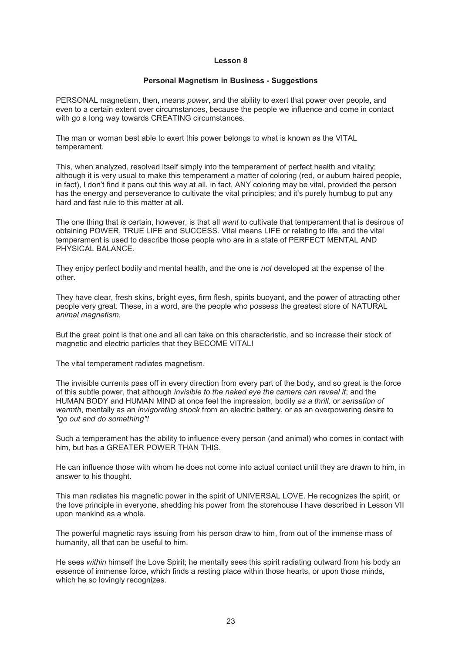#### **Personal Magnetism in Business - Suggestions**

PERSONAL magnetism, then, means *power*, and the ability to exert that power over people, and even to a certain extent over circumstances, because the people we influence and come in contact with go a long way towards CREATING circumstances.

The man or woman best able to exert this power belongs to what is known as the VITAL temperament.

This, when analyzed, resolved itself simply into the temperament of perfect health and vitality; although it is very usual to make this temperament a matter of coloring (red, or auburn haired people, in fact), I don't find it pans out this way at all, in fact, ANY coloring may be vital, provided the person has the energy and perseverance to cultivate the vital principles; and it's purely humbug to put any hard and fast rule to this matter at all.

The one thing that *is* certain, however, is that all *want* to cultivate that temperament that is desirous of obtaining POWER, TRUE LIFE and SUCCESS. Vital means LIFE or relating to life, and the vital temperament is used to describe those people who are in a state of PERFECT MENTAL AND PHYSICAL BALANCE.

They enjoy perfect bodily and mental health, and the one is *not* developed at the expense of the other.

They have clear, fresh skins, bright eyes, firm flesh, spirits buoyant, and the power of attracting other people very great. These, in a word, are the people who possess the greatest store of NATURAL *animal magnetism.* 

But the great point is that one and all can take on this characteristic, and so increase their stock of magnetic and electric particles that they BECOME VITAL!

The vital temperament radiates magnetism.

The invisible currents pass off in every direction from every part of the body, and so great is the force of this subtle power, that although *invisible to the naked eye the camera can reveal it*; and the HUMAN BODY and HUMAN MIND at once feel the impression, bodily *as a thrill,* or *sensation of warmth*, mentally as an *invigorating shock* from an electric battery, or as an overpowering desire to *"go out and do something"!*

Such a temperament has the ability to influence every person (and animal) who comes in contact with him, but has a GREATER POWER THAN THIS.

He can influence those with whom he does not come into actual contact until they are drawn to him, in answer to his thought.

This man radiates his magnetic power in the spirit of UNIVERSAL LOVE. He recognizes the spirit, or the love principle in everyone, shedding his power from the storehouse I have described in Lesson VII upon mankind as a whole.

The powerful magnetic rays issuing from his person draw to him, from out of the immense mass of humanity, all that can be useful to him.

He sees *within* himself the Love Spirit; he mentally sees this spirit radiating outward from his body an essence of immense force, which finds a resting place within those hearts, or upon those minds, which he so lovingly recognizes.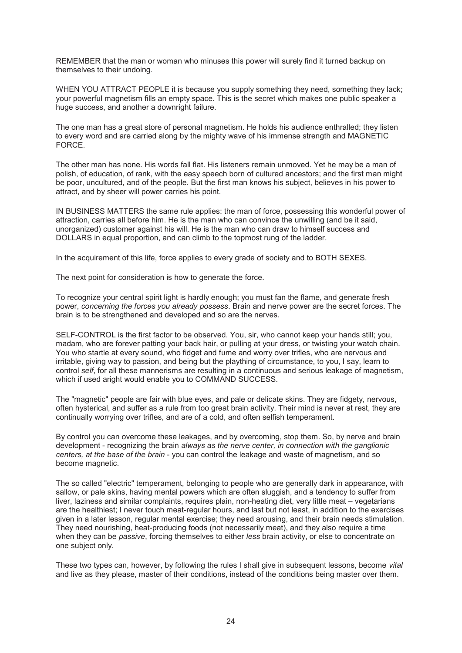REMEMBER that the man or woman who minuses this power will surely find it turned backup on themselves to their undoing.

WHEN YOU ATTRACT PEOPLE it is because you supply something they need, something they lack; your powerful magnetism fills an empty space. This is the secret which makes one public speaker a huge success, and another a downright failure.

The one man has a great store of personal magnetism. He holds his audience enthralled; they listen to every word and are carried along by the mighty wave of his immense strength and MAGNETIC **FORCE** 

The other man has none. His words fall flat. His listeners remain unmoved. Yet he may be a man of polish, of education, of rank, with the easy speech born of cultured ancestors; and the first man might be poor, uncultured, and of the people. But the first man knows his subject, believes in his power to attract, and by sheer will power carries his point.

IN BUSINESS MATTERS the same rule applies: the man of force, possessing this wonderful power of attraction, carries all before him. He is the man who can convince the unwilling (and be it said, unorganized) customer against his will. He is the man who can draw to himself success and DOLLARS in equal proportion, and can climb to the topmost rung of the ladder.

In the acquirement of this life, force applies to every grade of society and to BOTH SEXES.

The next point for consideration is how to generate the force.

To recognize your central spirit light is hardly enough; you must fan the flame, and generate fresh power, *concerning the forces you already possess*. Brain and nerve power are the secret forces. The brain is to be strengthened and developed and so are the nerves.

SELF-CONTROL is the first factor to be observed. You, sir, who cannot keep your hands still; you, madam, who are forever patting your back hair, or pulling at your dress, or twisting your watch chain. You who startle at every sound, who fidget and fume and worry over trifles, who are nervous and irritable, giving way to passion, and being but the plaything of circumstance, to you, I say, learn to control *self*, for all these mannerisms are resulting in a continuous and serious leakage of magnetism, which if used aright would enable you to COMMAND SUCCESS.

The "magnetic" people are fair with blue eyes, and pale or delicate skins. They are fidgety, nervous, often hysterical, and suffer as a rule from too great brain activity. Their mind is never at rest, they are continually worrying over trifles, and are of a cold, and often selfish temperament.

By control you can overcome these leakages, and by overcoming, stop them. So, by nerve and brain development - recognizing the brain *always as the nerve center, in connection with the ganglionic centers, at the base of the brain* - you can control the leakage and waste of magnetism, and so become magnetic.

The so called "electric" temperament, belonging to people who are generally dark in appearance, with sallow, or pale skins, having mental powers which are often sluggish, and a tendency to suffer from liver, laziness and similar complaints, requires plain, non-heating diet, very little meat – vegetarians are the healthiest; I never touch meat-regular hours, and last but not least, in addition to the exercises given in a later lesson, regular mental exercise; they need arousing, and their brain needs stimulation. They need nourishing, heat-producing foods (not necessarily meat), and they also require a time when they can be *passive*, forcing themselves to either *less* brain activity, or else to concentrate on one subject only.

These two types can, however, by following the rules I shall give in subsequent lessons, become *vital* and live as they please, master of their conditions, instead of the conditions being master over them.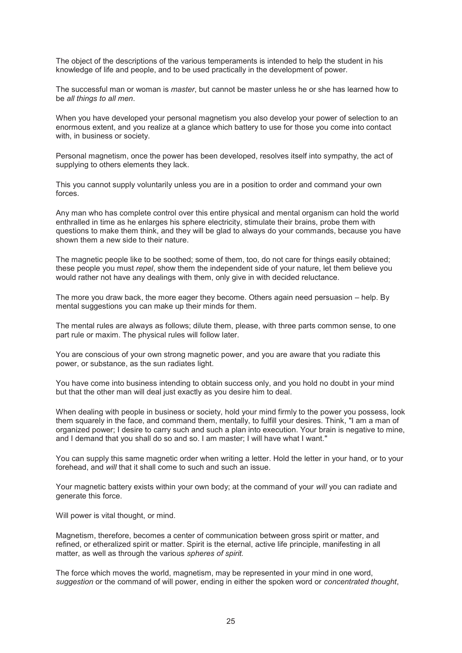The object of the descriptions of the various temperaments is intended to help the student in his knowledge of life and people, and to be used practically in the development of power.

The successful man or woman is *master*, but cannot be master unless he or she has learned how to be *all things to all men*.

When you have developed your personal magnetism you also develop your power of selection to an enormous extent, and you realize at a glance which battery to use for those you come into contact with, in business or society.

Personal magnetism, once the power has been developed, resolves itself into sympathy, the act of supplying to others elements they lack.

This you cannot supply voluntarily unless you are in a position to order and command your own forces.

Any man who has complete control over this entire physical and mental organism can hold the world enthralled in time as he enlarges his sphere electricity, stimulate their brains, probe them with questions to make them think, and they will be glad to always do your commands, because you have shown them a new side to their nature.

The magnetic people like to be soothed; some of them, too, do not care for things easily obtained; these people you must *repel*, show them the independent side of your nature, let them believe you would rather not have any dealings with them, only give in with decided reluctance.

The more you draw back, the more eager they become. Others again need persuasion – help. By mental suggestions you can make up their minds for them.

The mental rules are always as follows; dilute them, please, with three parts common sense, to one part rule or maxim. The physical rules will follow later.

You are conscious of your own strong magnetic power, and you are aware that you radiate this power, or substance, as the sun radiates light.

You have come into business intending to obtain success only, and you hold no doubt in your mind but that the other man will deal just exactly as you desire him to deal.

When dealing with people in business or society, hold your mind firmly to the power you possess, look them squarely in the face, and command them, mentally, to fulfill your desires. Think, "I am a man of organized power; I desire to carry such and such a plan into execution. Your brain is negative to mine, and I demand that you shall do so and so. I am master; I will have what I want."

You can supply this same magnetic order when writing a letter. Hold the letter in your hand, or to your forehead, and *will* that it shall come to such and such an issue.

Your magnetic battery exists within your own body; at the command of your *will* you can radiate and generate this force.

Will power is vital thought, or mind.

Magnetism, therefore, becomes a center of communication between gross spirit or matter, and refined, or etheralized spirit or matter. Spirit is the eternal, active life principle, manifesting in all matter, as well as through the various *spheres of spirit.* 

The force which moves the world, magnetism, may be represented in your mind in one word, *suggestion* or the command of will power, ending in either the spoken word or *concentrated thought*,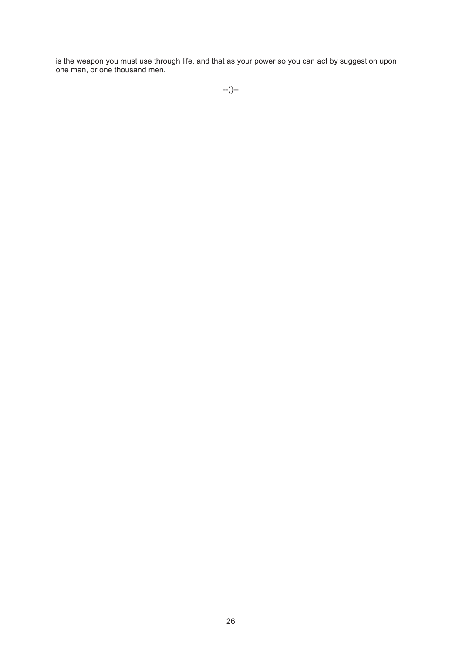is the weapon you must use through life, and that as your power so you can act by suggestion upon one man, or one thousand men.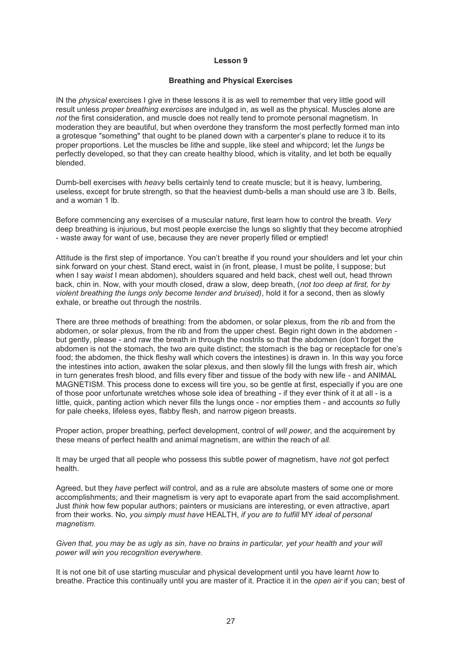#### **Breathing and Physical Exercises**

IN the *physical* exercises I give in these lessons it is as well to remember that very little good will result unless *proper breathing exercises* are indulged in, as well as the physical. Muscles alone are *not* the first consideration, and muscle does not really tend to promote personal magnetism. In moderation they are beautiful, but when overdone they transform the most perfectly formed man into a grotesque "something" that ought to be planed down with a carpenter's plane to reduce it to its proper proportions. Let the muscles be lithe and supple, like steel and whipcord; let the *lungs* be perfectly developed, so that they can create healthy blood, which is vitality, and let both be equally blended.

Dumb-bell exercises with *heavy* bells certainly tend to create muscle; but it is heavy, lumbering, useless, except for brute strength, so that the heaviest dumb-bells a man should use are 3 lb. Bells, and a woman 1 lb.

Before commencing any exercises of a muscular nature, first learn how to control the breath. *Very* deep breathing is injurious, but most people exercise the lungs so slightly that they become atrophied - waste away for want of use, because they are never properly filled or emptied!

Attitude is the first step of importance. You can't breathe if you round your shoulders and let your chin sink forward on your chest. Stand erect, waist in (in front, please, I must be polite, I suppose; but when I say *waist* I mean abdomen), shoulders squared and held back, chest well out, head thrown back, chin in. Now, with your mouth closed, draw a slow, deep breath, (*not too deep at first, for by violent breathing the lungs only become tender and bruised)*, hold it for a second, then as slowly exhale, or breathe out through the nostrils.

There are three methods of breathing: from the abdomen, or solar plexus, from the rib and from the abdomen, or solar plexus, from the rib and from the upper chest. Begin right down in the abdomen but gently, please - and raw the breath in through the nostrils so that the abdomen (don't forget the abdomen is not the stomach, the two are quite distinct; the stomach is the bag or receptacle for one's food; the abdomen, the thick fleshy wall which covers the intestines) is drawn in. In this way you force the intestines into action, awaken the solar plexus, and then slowly fill the lungs with fresh air, which in turn generates fresh blood, and fills every fiber and tissue of the body with new life - and ANIMAL MAGNETISM. This process done to excess will tire you, so be gentle at first, especially if you are one of those poor unfortunate wretches whose sole idea of breathing - if they ever think of it at all - is a little, quick, panting action which never fills the lungs once - nor empties them - and accounts *so* fully for pale cheeks, lifeless eyes, flabby flesh, and narrow pigeon breasts.

Proper action, proper breathing, perfect development, control of *will power*, and the acquirement by these means of perfect health and animal magnetism, are within the reach of *all.* 

It may be urged that all people who possess this subtle power of magnetism, have *not* got perfect health.

Agreed, but they *have* perfect *will* control, and as a rule are absolute masters of some one or more accomplishments; and their magnetism is very apt to evaporate apart from the said accomplishment. Just *think* how few popular authors; painters or musicians are interesting, or even attractive, apart from their works. No, *you simply must have* HEALTH, *if you are to fulfill* MY *ideal of personal magnetism.* 

*Given that, you may be as ugly as sin, have no brains in particular, yet your health and your will power will win you recognition everywhere.*

It is not one bit of use starting muscular and physical development until you have learnt *how* to breathe. Practice this continually until you are master of it. Practice it in the *open air* if you can; best of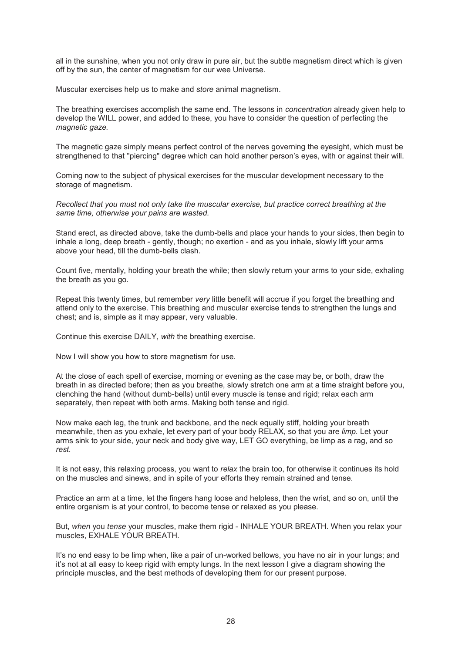all in the sunshine, when you not only draw in pure air, but the subtle magnetism direct which is given off by the sun, the center of magnetism for our wee Universe.

Muscular exercises help us to make and *store* animal magnetism.

The breathing exercises accomplish the same end. The lessons in *concentration* already given help to develop the WILL power, and added to these, you have to consider the question of perfecting the *magnetic gaze.*

The magnetic gaze simply means perfect control of the nerves governing the eyesight, which must be strengthened to that "piercing" degree which can hold another person's eyes, with or against their will.

Coming now to the subject of physical exercises for the muscular development necessary to the storage of magnetism.

*Recollect that you must not only take the muscular exercise, but practice correct breathing at the same time, otherwise your pains are wasted.* 

Stand erect, as directed above, take the dumb-bells and place your hands to your sides, then begin to inhale a long, deep breath - gently, though; no exertion - and as you inhale, slowly lift your arms above your head, till the dumb-bells clash.

Count five, mentally, holding your breath the while; then slowly return your arms to your side, exhaling the breath as you go.

Repeat this twenty times, but remember *very* little benefit will accrue if you forget the breathing and attend only to the exercise. This breathing and muscular exercise tends to strengthen the lungs and chest; and is, simple as it may appear, very valuable.

Continue this exercise DAILY, *with* the breathing exercise.

Now I will show you how to store magnetism for use.

At the close of each spell of exercise, morning or evening as the case may be, or both, draw the breath in as directed before; then as you breathe, slowly stretch one arm at a time straight before you, clenching the hand (without dumb-bells) until every muscle is tense and rigid; relax each arm separately, then repeat with both arms. Making both tense and rigid.

Now make each leg, the trunk and backbone, and the neck equally stiff, holding your breath meanwhile, then as you exhale, let every part of your body RELAX, so that you are *limp.* Let your arms sink to your side, your neck and body give way, LET GO everything, be limp as a rag, and so *rest.* 

It is not easy, this relaxing process, you want to *relax* the brain too, for otherwise it continues its hold on the muscles and sinews, and in spite of your efforts they remain strained and tense.

Practice an arm at a time, let the fingers hang loose and helpless, then the wrist, and so on, until the entire organism is at your control, to become tense or relaxed as you please.

But, *when* you *tense* your muscles, make them rigid - INHALE YOUR BREATH. When you relax your muscles, EXHALE YOUR BREATH.

It's no end easy to be limp when, like a pair of un-worked bellows, you have no air in your lungs; and it's not at all easy to keep rigid with empty lungs. In the next lesson I give a diagram showing the principle muscles, and the best methods of developing them for our present purpose.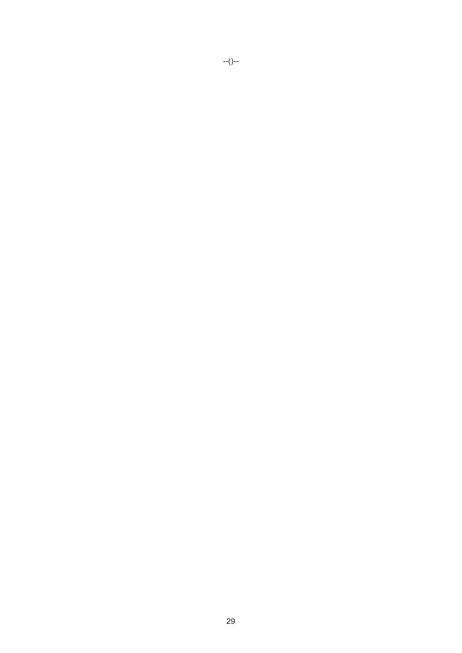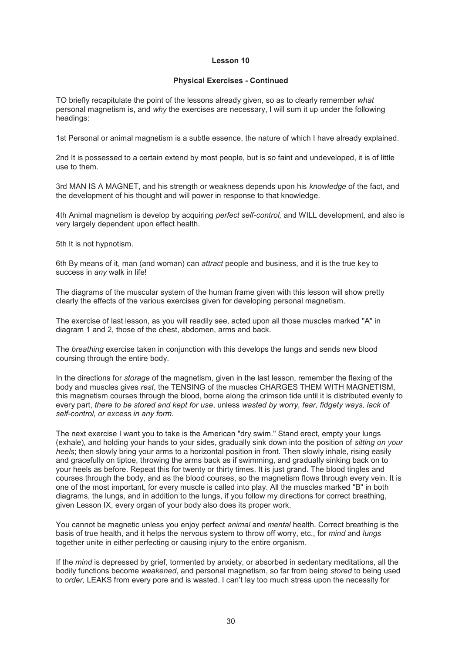#### **Physical Exercises - Continued**

TO briefly recapitulate the point of the lessons already given, so as to clearly remember *what* personal magnetism is, and *why* the exercises are necessary, I will sum it up under the following headings:

1st Personal or animal magnetism is a subtle essence, the nature of which I have already explained.

2nd It is possessed to a certain extend by most people, but is so faint and undeveloped, it is of little use to them.

3rd MAN IS A MAGNET, and his strength or weakness depends upon his *knowledge* of the fact, and the development of his thought and will power in response to that knowledge.

4th Animal magnetism is develop by acquiring *perfect self-control,* and WILL development, and also is very largely dependent upon effect health.

5th It is not hypnotism.

6th By means of it, man (and woman) can *attract* people and business, and it is the true key to success in *any* walk in life!

The diagrams of the muscular system of the human frame given with this lesson will show pretty clearly the effects of the various exercises given for developing personal magnetism.

The exercise of last lesson, as you will readily see, acted upon all those muscles marked "A" in diagram 1 and 2, those of the chest, abdomen, arms and back.

The *breathing* exercise taken in conjunction with this develops the lungs and sends new blood coursing through the entire body.

In the directions for *storage* of the magnetism, given in the last lesson, remember the flexing of the body and muscles gives *rest*, the TENSING of the muscles CHARGES THEM WITH MAGNETISM, this magnetism courses through the blood, borne along the crimson tide until it is distributed evenly to every part, *there to be stored and kept for use*, unless *wasted by worry, fear, fidgety ways, lack of self-control, or excess in any form*.

The next exercise I want you to take is the American "dry swim." Stand erect, empty your lungs (exhale), and holding your hands to your sides, gradually sink down into the position of *sitting on your heels*; then slowly bring your arms to a horizontal position in front. Then slowly inhale, rising easily and gracefully on tiptoe, throwing the arms back as if swimming, and gradually sinking back on to your heels as before. Repeat this for twenty or thirty times. It is just grand. The blood tingles and courses through the body, and as the blood courses, so the magnetism flows through every vein. It is one of the most important, for every muscle is called into play. All the muscles marked "B" in both diagrams, the lungs, and in addition to the lungs, if you follow my directions for correct breathing, given Lesson IX, every organ of your body also does its proper work.

You cannot be magnetic unless you enjoy perfect *animal* and *mental* health. Correct breathing is the basis of true health, and it helps the nervous system to throw off worry, etc., for *mind* and *lungs* together unite in either perfecting or causing injury to the entire organism.

If the *mind* is depressed by grief, tormented by anxiety, or absorbed in sedentary meditations, all the bodily functions become *weakened*, and personal magnetism, so far from being *stored* to being used to *order,* LEAKS from every pore and is wasted. I can't lay too much stress upon the necessity for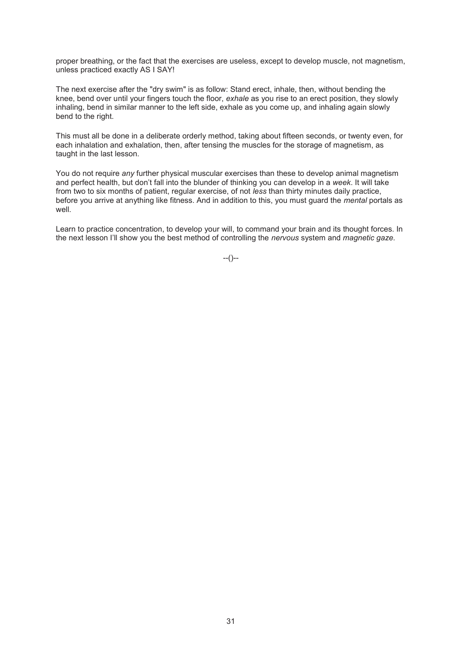proper breathing, or the fact that the exercises are useless, except to develop muscle, not magnetism, unless practiced exactly AS I SAY!

The next exercise after the "dry swim" is as follow: Stand erect, inhale, then, without bending the knee, bend over until your fingers touch the floor, *exhale* as you rise to an erect position, they slowly inhaling, bend in similar manner to the left side, exhale as you come up, and inhaling again slowly bend to the right.

This must all be done in a deliberate orderly method, taking about fifteen seconds, or twenty even, for each inhalation and exhalation, then, after tensing the muscles for the storage of magnetism, as taught in the last lesson.

You do not require *any* further physical muscular exercises than these to develop animal magnetism and perfect health, but don't fall into the blunder of thinking you can develop in a *week*. It will take from two to six months of patient, regular exercise, of not *less* than thirty minutes daily practice, before you arrive at anything like fitness. And in addition to this, you must guard the *mental* portals as well.

Learn to practice concentration, to develop your will, to command your brain and its thought forces. In the next lesson I'll show you the best method of controlling the *nervous* system and *magnetic gaze.*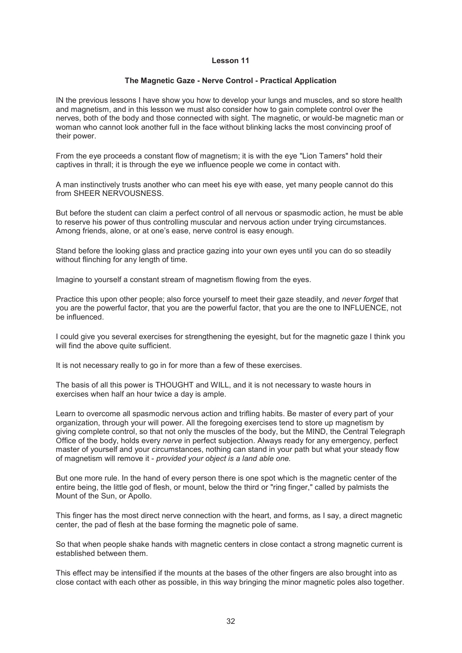#### **The Magnetic Gaze - Nerve Control - Practical Application**

IN the previous lessons I have show you how to develop your lungs and muscles, and so store health and magnetism, and in this lesson we must also consider how to gain complete control over the nerves, both of the body and those connected with sight. The magnetic, or would-be magnetic man or woman who cannot look another full in the face without blinking lacks the most convincing proof of their power.

From the eye proceeds a constant flow of magnetism; it is with the eye "Lion Tamers" hold their captives in thrall; it is through the eye we influence people we come in contact with.

A man instinctively trusts another who can meet his eye with ease, yet many people cannot do this from SHEER NERVOUSNESS.

But before the student can claim a perfect control of all nervous or spasmodic action, he must be able to reserve his power of thus controlling muscular and nervous action under trying circumstances. Among friends, alone, or at one's ease, nerve control is easy enough.

Stand before the looking glass and practice gazing into your own eyes until you can do so steadily without flinching for any length of time.

Imagine to yourself a constant stream of magnetism flowing from the eyes.

Practice this upon other people; also force yourself to meet their gaze steadily, and *never forget* that you are the powerful factor, that you are the powerful factor, that you are the one to INFLUENCE, not be influenced.

I could give you several exercises for strengthening the eyesight, but for the magnetic gaze I think you will find the above quite sufficient.

It is not necessary really to go in for more than a few of these exercises.

The basis of all this power is THOUGHT and WILL, and it is not necessary to waste hours in exercises when half an hour twice a day is ample.

Learn to overcome all spasmodic nervous action and trifling habits. Be master of every part of your organization, through your will power. All the foregoing exercises tend to store up magnetism by giving complete control, so that not only the muscles of the body, but the MIND, the Central Telegraph Office of the body, holds every *nerve* in perfect subjection. Always ready for any emergency, perfect master of yourself and your circumstances, nothing can stand in your path but what your steady flow of magnetism will remove it - *provided your object is a land able one.*

But one more rule. In the hand of every person there is one spot which is the magnetic center of the entire being, the little god of flesh, or mount, below the third or "ring finger," called by palmists the Mount of the Sun, or Apollo.

This finger has the most direct nerve connection with the heart, and forms, as I say, a direct magnetic center, the pad of flesh at the base forming the magnetic pole of same.

So that when people shake hands with magnetic centers in close contact a strong magnetic current is established between them.

This effect may be intensified if the mounts at the bases of the other fingers are also brought into as close contact with each other as possible, in this way bringing the minor magnetic poles also together.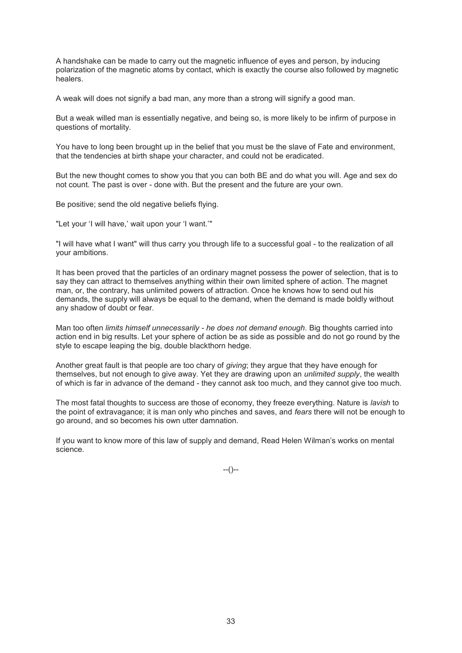A handshake can be made to carry out the magnetic influence of eyes and person, by inducing polarization of the magnetic atoms by contact, which is exactly the course also followed by magnetic healers.

A weak will does not signify a bad man, any more than a strong will signify a good man.

But a weak willed man is essentially negative, and being so, is more likely to be infirm of purpose in questions of mortality.

You have to long been brought up in the belief that you must be the slave of Fate and environment, that the tendencies at birth shape your character, and could not be eradicated.

But the new thought comes to show you that you can both BE and do what you will. Age and sex do not count. The past is over - done with. But the present and the future are your own.

Be positive; send the old negative beliefs flying.

"Let your 'I will have,' wait upon your 'I want.'"

"I will have what I want" will thus carry you through life to a successful goal - to the realization of all your ambitions.

It has been proved that the particles of an ordinary magnet possess the power of selection, that is to say they can attract to themselves anything within their own limited sphere of action. The magnet man, or, the contrary, has unlimited powers of attraction. Once he knows how to send out his demands, the supply will always be equal to the demand, when the demand is made boldly without any shadow of doubt or fear.

Man too often *limits himself unnecessarily - he does not demand enough*. Big thoughts carried into action end in big results. Let your sphere of action be as side as possible and do not go round by the style to escape leaping the big, double blackthorn hedge.

Another great fault is that people are too chary of *giving*; they argue that they have enough for themselves, but not enough to give away. Yet they are drawing upon an *unlimited supply*, the wealth of which is far in advance of the demand - they cannot ask too much, and they cannot give too much.

The most fatal thoughts to success are those of economy, they freeze everything. Nature is *lavish* to the point of extravagance; it is man only who pinches and saves, and *fears* there will not be enough to go around, and so becomes his own utter damnation.

If you want to know more of this law of supply and demand, Read Helen Wilman's works on mental science.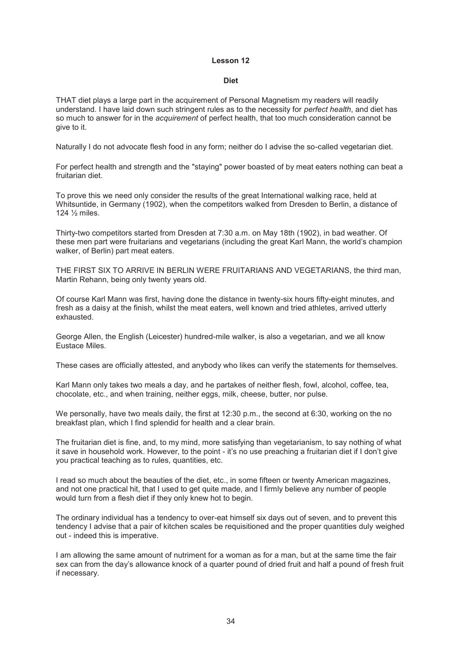### **Diet**

THAT diet plays a large part in the acquirement of Personal Magnetism my readers will readily understand. I have laid down such stringent rules as to the necessity for *perfect health*, and diet has so much to answer for in the *acquirement* of perfect health, that too much consideration cannot be give to it.

Naturally I do not advocate flesh food in any form; neither do I advise the so-called vegetarian diet.

For perfect health and strength and the "staying" power boasted of by meat eaters nothing can beat a fruitarian diet.

To prove this we need only consider the results of the great International walking race, held at Whitsuntide, in Germany (1902), when the competitors walked from Dresden to Berlin, a distance of 124 ½ miles.

Thirty-two competitors started from Dresden at 7:30 a.m. on May 18th (1902), in bad weather. Of these men part were fruitarians and vegetarians (including the great Karl Mann, the world's champion walker, of Berlin) part meat eaters.

THE FIRST SIX TO ARRIVE IN BERLIN WERE FRUITARIANS AND VEGETARIANS, the third man, Martin Rehann, being only twenty years old.

Of course Karl Mann was first, having done the distance in twenty-six hours fifty-eight minutes, and fresh as a daisy at the finish, whilst the meat eaters, well known and tried athletes, arrived utterly exhausted.

George Allen, the English (Leicester) hundred-mile walker, is also a vegetarian, and we all know Eustace Miles.

These cases are officially attested, and anybody who likes can verify the statements for themselves.

Karl Mann only takes two meals a day, and he partakes of neither flesh, fowl, alcohol, coffee, tea, chocolate, etc., and when training, neither eggs, milk, cheese, butter, nor pulse.

We personally, have two meals daily, the first at 12:30 p.m., the second at 6:30, working on the no breakfast plan, which I find splendid for health and a clear brain.

The fruitarian diet is fine, and, to my mind, more satisfying than vegetarianism, to say nothing of what it save in household work. However, to the point - it's no use preaching a fruitarian diet if I don't give you practical teaching as to rules, quantities, etc.

I read so much about the beauties of the diet, etc., in some fifteen or twenty American magazines, and not one practical hit, that I used to get quite made, and I firmly believe any number of people would turn from a flesh diet if they only knew hot to begin.

The ordinary individual has a tendency to over-eat himself six days out of seven, and to prevent this tendency I advise that a pair of kitchen scales be requisitioned and the proper quantities duly weighed out - indeed this is imperative.

I am allowing the same amount of nutriment for a woman as for a man, but at the same time the fair sex can from the day's allowance knock of a quarter pound of dried fruit and half a pound of fresh fruit if necessary.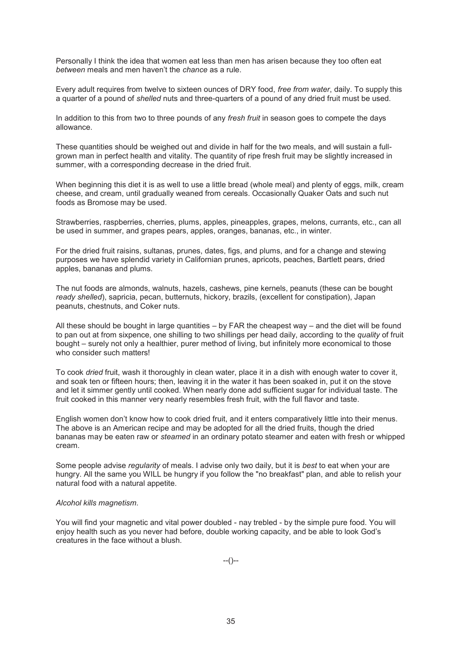Personally I think the idea that women eat less than men has arisen because they too often eat *between* meals and men haven't the *chance* as a rule.

Every adult requires from twelve to sixteen ounces of DRY food, *free from water*, daily. To supply this a quarter of a pound of *shelled* nuts and three-quarters of a pound of any dried fruit must be used.

In addition to this from two to three pounds of any *fresh fruit* in season goes to compete the days allowance.

These quantities should be weighed out and divide in half for the two meals, and will sustain a fullgrown man in perfect health and vitality. The quantity of ripe fresh fruit may be slightly increased in summer, with a corresponding decrease in the dried fruit.

When beginning this diet it is as well to use a little bread (whole meal) and plenty of eggs, milk, cream cheese, and cream, until gradually weaned from cereals. Occasionally Quaker Oats and such nut foods as Bromose may be used.

Strawberries, raspberries, cherries, plums, apples, pineapples, grapes, melons, currants, etc., can all be used in summer, and grapes pears, apples, oranges, bananas, etc., in winter.

For the dried fruit raisins, sultanas, prunes, dates, figs, and plums, and for a change and stewing purposes we have splendid variety in Californian prunes, apricots, peaches, Bartlett pears, dried apples, bananas and plums.

The nut foods are almonds, walnuts, hazels, cashews, pine kernels, peanuts (these can be bought *ready shelled*), sapricia, pecan, butternuts, hickory, brazils, (excellent for constipation), Japan peanuts, chestnuts, and Coker nuts.

All these should be bought in large quantities – by FAR the cheapest way – and the diet will be found to pan out at from sixpence, one shilling to two shillings per head daily, according to the *quality* of fruit bought – surely not only a healthier, purer method of living, but infinitely more economical to those who consider such matters!

To cook *dried* fruit, wash it thoroughly in clean water, place it in a dish with enough water to cover it, and soak ten or fifteen hours; then, leaving it in the water it has been soaked in, put it on the stove and let it simmer gently until cooked. When nearly done add sufficient sugar for individual taste. The fruit cooked in this manner very nearly resembles fresh fruit, with the full flavor and taste.

English women don't know how to cook dried fruit, and it enters comparatively little into their menus. The above is an American recipe and may be adopted for all the dried fruits, though the dried bananas may be eaten raw or *steamed* in an ordinary potato steamer and eaten with fresh or whipped cream.

Some people advise *regularity* of meals. I advise only two daily, but it is *best* to eat when your are hungry. All the same you WILL be hungry if you follow the "no breakfast" plan, and able to relish your natural food with a natural appetite.

#### *Alcohol kills magnetism*.

You will find your magnetic and vital power doubled - nay trebled - by the simple pure food. You will enjoy health such as you never had before, double working capacity, and be able to look God's creatures in the face without a blush.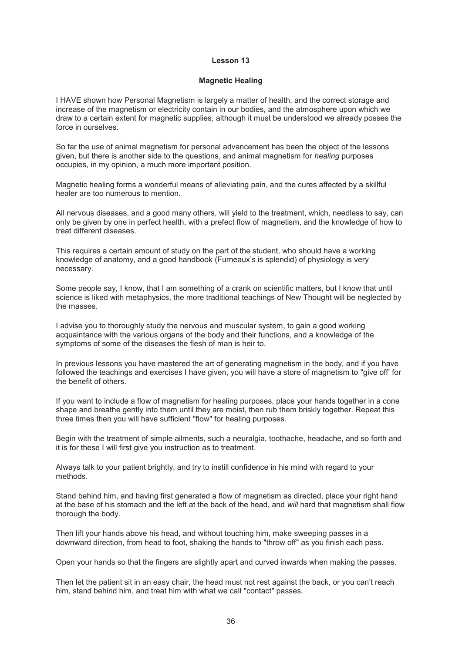#### **Magnetic Healing**

I HAVE shown how Personal Magnetism is largely a matter of health, and the correct storage and increase of the magnetism or electricity contain in our bodies, and the atmosphere upon which we draw to a certain extent for magnetic supplies, although it must be understood we already posses the force in ourselves.

So far the use of animal magnetism for personal advancement has been the object of the lessons given, but there is another side to the questions, and animal magnetism for *healing* purposes occupies, in my opinion, a much more important position.

Magnetic healing forms a wonderful means of alleviating pain, and the cures affected by a skillful healer are too numerous to mention.

All nervous diseases, and a good many others, will yield to the treatment, which, needless to say, can only be given by one in perfect health, with a prefect flow of magnetism, and the knowledge of how to treat different diseases.

This requires a certain amount of study on the part of the student, who should have a working knowledge of anatomy, and a good handbook (Furneaux's is splendid) of physiology is very necessary.

Some people say, I know, that I am something of a crank on scientific matters, but I know that until science is liked with metaphysics, the more traditional teachings of New Thought will be neglected by the masses.

I advise you to thoroughly study the nervous and muscular system, to gain a good working acquaintance with the various organs of the body and their functions, and a knowledge of the symptoms of some of the diseases the flesh of man is heir to.

In previous lessons you have mastered the art of generating magnetism in the body, and if you have followed the teachings and exercises I have given, you will have a store of magnetism to "give off' for the benefit of others.

If you want to include a flow of magnetism for healing purposes, place your hands together in a cone shape and breathe gently into them until they are moist, then rub them briskly together. Repeat this three times then you will have sufficient "flow" for healing purposes.

Begin with the treatment of simple ailments, such a neuralgia, toothache, headache, and so forth and it is for these I will first give you instruction as to treatment.

Always talk to your patient brightly, and try to instill confidence in his mind with regard to your methods.

Stand behind him, and having first generated a flow of magnetism as directed, place your right hand at the base of his stomach and the left at the back of the head, and *will* hard that magnetism shall flow thorough the body.

Then lift your hands above his head, and without touching him, make sweeping passes in a downward direction, from head to foot, shaking the hands to "throw off" as you finish each pass.

Open your hands so that the fingers are slightly apart and curved inwards when making the passes.

Then let the patient sit in an easy chair, the head must not rest against the back, or you can't reach him, stand behind him, and treat him with what we call "contact" passes.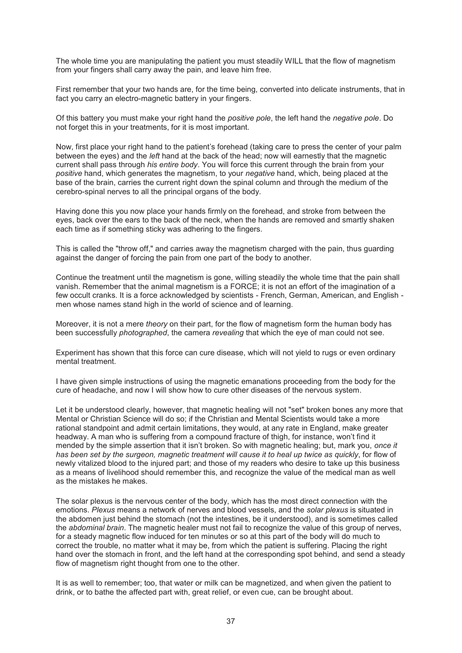The whole time you are manipulating the patient you must steadily WILL that the flow of magnetism from your fingers shall carry away the pain, and leave him free.

First remember that your two hands are, for the time being, converted into delicate instruments, that in fact you carry an electro-magnetic battery in your fingers.

Of this battery you must make your right hand the *positive pole*, the left hand the *negative pole*. Do not forget this in your treatments, for it is most important.

Now, first place your right hand to the patient's forehead (taking care to press the center of your palm between the eyes) and the *left* hand at the back of the head; now will earnestly that the magnetic current shall pass through *his entire body*. You will force this current through the brain from your *positive* hand, which generates the magnetism, to your *negative* hand, which, being placed at the base of the brain, carries the current right down the spinal column and through the medium of the cerebro-spinal nerves to all the principal organs of the body.

Having done this you now place your hands firmly on the forehead, and stroke from between the eyes, back over the ears to the back of the neck, when the hands are removed and smartly shaken each time as if something sticky was adhering to the fingers.

This is called the "throw off," and carries away the magnetism charged with the pain, thus guarding against the danger of forcing the pain from one part of the body to another.

Continue the treatment until the magnetism is gone, willing steadily the whole time that the pain shall vanish. Remember that the animal magnetism is a FORCE; it is not an effort of the imagination of a few occult cranks. It is a force acknowledged by scientists - French, German, American, and English men whose names stand high in the world of science and of learning.

Moreover, it is not a mere *theory* on their part, for the flow of magnetism form the human body has been successfully *photographed*, the camera *revealing* that which the eye of man could not see.

Experiment has shown that this force can cure disease, which will not yield to rugs or even ordinary mental treatment.

I have given simple instructions of using the magnetic emanations proceeding from the body for the cure of headache, and now I will show how to cure other diseases of the nervous system.

Let it be understood clearly, however, that magnetic healing will not "set" broken bones any more that Mental or Christian Science will do so; if the Christian and Mental Scientists would take a more rational standpoint and admit certain limitations, they would, at any rate in England, make greater headway. A man who is suffering from a compound fracture of thigh, for instance, won't find it mended by the simple assertion that it isn't broken. So with magnetic healing; but, mark you, *once it has been set by the surgeon, magnetic treatment will cause it to heal up twice as quickly*, for flow of newly vitalized blood to the injured part; and those of my readers who desire to take up this business as a means of livelihood should remember this, and recognize the value of the medical man as well as the mistakes he makes.

The solar plexus is the nervous center of the body, which has the most direct connection with the emotions. *Plexus* means a network of nerves and blood vessels, and the *solar plexus* is situated in the abdomen just behind the stomach (not the intestines, be it understood), and is sometimes called the *abdominal brain*. The magnetic healer must not fail to recognize the value of this group of nerves, for a steady magnetic flow induced for ten minutes or so at this part of the body will do much to correct the trouble, no matter what it may be, from which the patient is suffering. Placing the right hand over the stomach in front, and the left hand at the corresponding spot behind, and send a steady flow of magnetism right thought from one to the other.

It is as well to remember; too, that water or milk can be magnetized, and when given the patient to drink, or to bathe the affected part with, great relief, or even cue, can be brought about.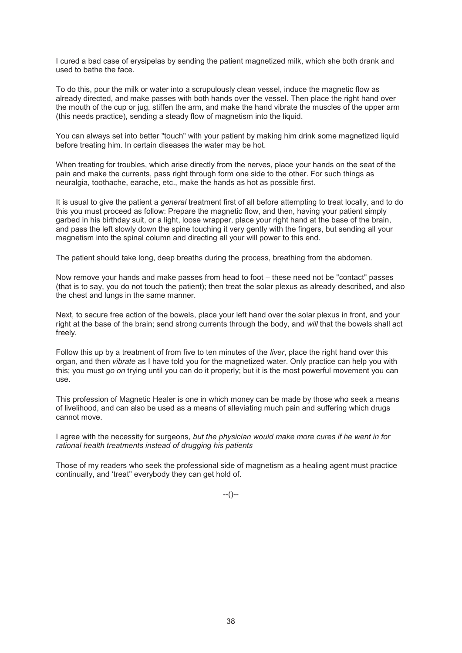I cured a bad case of erysipelas by sending the patient magnetized milk, which she both drank and used to bathe the face.

To do this, pour the milk or water into a scrupulously clean vessel, induce the magnetic flow as already directed, and make passes with both hands over the vessel. Then place the right hand over the mouth of the cup or jug, stiffen the arm, and make the hand vibrate the muscles of the upper arm (this needs practice), sending a steady flow of magnetism into the liquid.

You can always set into better "touch" with your patient by making him drink some magnetized liquid before treating him. In certain diseases the water may be hot.

When treating for troubles, which arise directly from the nerves, place your hands on the seat of the pain and make the currents, pass right through form one side to the other. For such things as neuralgia, toothache, earache, etc., make the hands as hot as possible first.

It is usual to give the patient a *general* treatment first of all before attempting to treat locally, and to do this you must proceed as follow: Prepare the magnetic flow, and then, having your patient simply garbed in his birthday suit, or a light, loose wrapper, place your right hand at the base of the brain, and pass the left slowly down the spine touching it very gently with the fingers, but sending all your magnetism into the spinal column and directing all your will power to this end.

The patient should take long, deep breaths during the process, breathing from the abdomen.

Now remove your hands and make passes from head to foot – these need not be "contact" passes (that is to say, you do not touch the patient); then treat the solar plexus as already described, and also the chest and lungs in the same manner.

Next, to secure free action of the bowels, place your left hand over the solar plexus in front, and your right at the base of the brain; send strong currents through the body, and *will* that the bowels shall act freely.

Follow this up by a treatment of from five to ten minutes of the *liver*, place the right hand over this organ, and then *vibrate* as I have told you for the magnetized water. Only practice can help you with this; you must *go on* trying until you can do it properly; but it is the most powerful movement you can use.

This profession of Magnetic Healer is one in which money can be made by those who seek a means of livelihood, and can also be used as a means of alleviating much pain and suffering which drugs cannot move.

I agree with the necessity for surgeons*, but the physician would make more cures if he went in for rational health treatments instead of drugging his patients* 

Those of my readers who seek the professional side of magnetism as a healing agent must practice continually, and 'treat" everybody they can get hold of.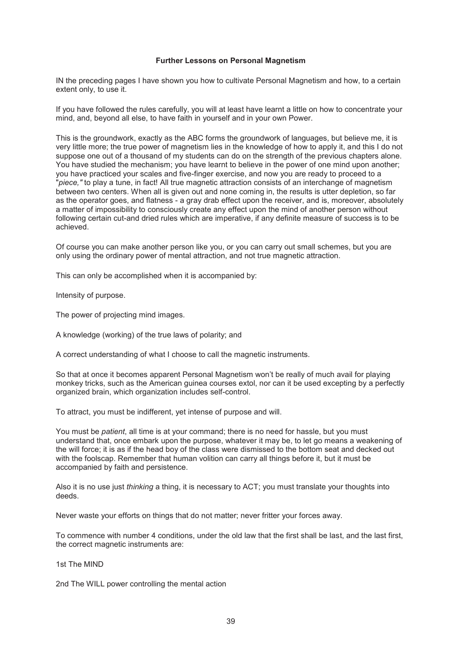#### **Further Lessons on Personal Magnetism**

IN the preceding pages I have shown you how to cultivate Personal Magnetism and how, to a certain extent only, to use it.

If you have followed the rules carefully, you will at least have learnt a little on how to concentrate your mind, and, beyond all else, to have faith in yourself and in your own Power.

This is the groundwork, exactly as the ABC forms the groundwork of languages, but believe me, it is very little more; the true power of magnetism lies in the knowledge of how to apply it, and this I do not suppose one out of a thousand of my students can do on the strength of the previous chapters alone. You have studied the mechanism; you have learnt to believe in the power of one mind upon another; you have practiced your scales and five-finger exercise, and now you are ready to proceed to a "*piece,"* to play a tune, in fact! All true magnetic attraction consists of an interchange of magnetism between two centers. When all is given out and none coming in, the results is utter depletion, so far as the operator goes, and flatness - a gray drab effect upon the receiver, and is, moreover, absolutely a matter of impossibility to consciously create any effect upon the mind of another person without following certain cut-and dried rules which are imperative, if any definite measure of success is to be achieved.

Of course you can make another person like you, or you can carry out small schemes, but you are only using the ordinary power of mental attraction, and not true magnetic attraction.

This can only be accomplished when it is accompanied by:

Intensity of purpose.

The power of projecting mind images.

A knowledge (working) of the true laws of polarity; and

A correct understanding of what I choose to call the magnetic instruments.

So that at once it becomes apparent Personal Magnetism won't be really of much avail for playing monkey tricks, such as the American guinea courses extol, nor can it be used excepting by a perfectly organized brain, which organization includes self-control.

To attract, you must be indifferent, yet intense of purpose and will.

You must be *patient*, all time is at your command; there is no need for hassle, but you must understand that, once embark upon the purpose, whatever it may be, to let go means a weakening of the will force; it is as if the head boy of the class were dismissed to the bottom seat and decked out with the foolscap. Remember that human volition can carry all things before it, but it must be accompanied by faith and persistence.

Also it is no use just *thinking* a thing, it is necessary to ACT; you must translate your thoughts into deeds.

Never waste your efforts on things that do not matter; never fritter your forces away.

To commence with number 4 conditions, under the old law that the first shall be last, and the last first, the correct magnetic instruments are:

1st The MIND

2nd The WILL power controlling the mental action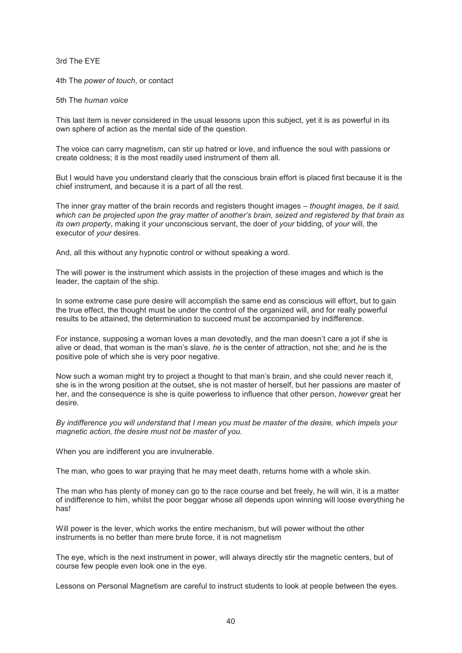3rd The EYE

4th The *power of touch*, or contact

5th The *human voice*

This last item is never considered in the usual lessons upon this subject, yet it is as powerful in its own sphere of action as the mental side of the question.

The voice can carry magnetism, can stir up hatred or love, and influence the soul with passions or create coldness; it is the most readily used instrument of them all.

But I would have you understand clearly that the conscious brain effort is placed first because it is the chief instrument, and because it is a part of all the rest.

The inner gray matter of the brain records and registers thought images – *thought images, be it said, which can be projected upon the gray matter of another's brain, seized and registered by that brain as its own property*, making it *your* unconscious servant, the doer of *your* bidding, of *your* will, the executor of *your* desires.

And, all this without any hypnotic control or without speaking a word.

The will power is the instrument which assists in the projection of these images and which is the leader, the captain of the ship.

In some extreme case pure desire will accomplish the same end as conscious will effort, but to gain the true effect, the thought must be under the control of the organized will, and for really powerful results to be attained, the determination to succeed must be accompanied by indifference.

For instance, supposing a woman loves a man devotedly, and the man doesn't care a jot if she is alive or dead, that woman is the man's slave, *he* is the center of attraction, not she; and *he* is the positive pole of which she is very poor negative.

Now such a woman might try to project a thought to that man's brain, and she could never reach it, she is in the wrong position at the outset, she is not master of herself, but her passions are master of her, and the consequence is she is quite powerless to influence that other person, *however* great her desire.

*By indifference you will understand that I mean you must be master of the desire, which impels your magnetic action, the desire must not be master of you.*

When you are indifferent you are invulnerable.

The man, who goes to war praying that he may meet death, returns home with a whole skin.

The man who has plenty of money can go to the race course and bet freely, he will win, it is a matter of indifference to him, whilst the poor beggar whose all depends upon winning will loose everything he has!

Will power is the lever, which works the entire mechanism, but will power without the other instruments is no better than mere brute force, it is not magnetism

The eye, which is the next instrument in power, will always directly stir the magnetic centers, but of course few people even look one in the eye.

Lessons on Personal Magnetism are careful to instruct students to look at people between the eyes.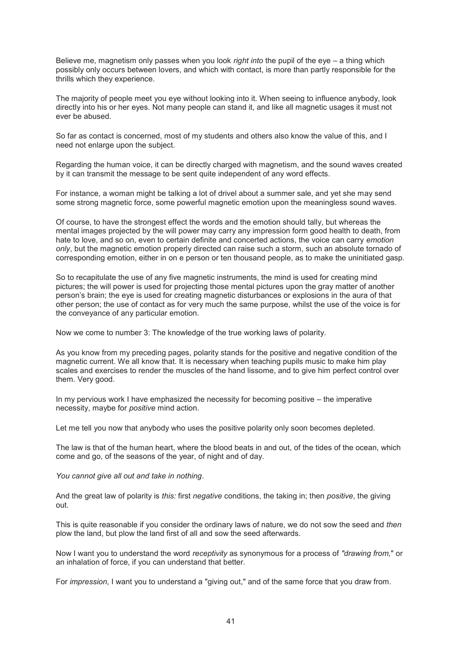Believe me, magnetism only passes when you look *right into* the pupil of the eye – a thing which possibly only occurs between lovers, and which with contact, is more than partly responsible for the thrills which they experience.

The majority of people meet you eye without looking into it. When seeing to influence anybody, look directly into his or her eyes. Not many people can stand it, and like all magnetic usages it must not ever be abused.

So far as contact is concerned, most of my students and others also know the value of this, and I need not enlarge upon the subject.

Regarding the human voice, it can be directly charged with magnetism, and the sound waves created by it can transmit the message to be sent quite independent of any word effects.

For instance, a woman might be talking a lot of drivel about a summer sale, and yet she may send some strong magnetic force, some powerful magnetic emotion upon the meaningless sound waves.

Of course, to have the strongest effect the words and the emotion should tally, but whereas the mental images projected by the will power may carry any impression form good health to death, from hate to love, and so on, even to certain definite and concerted actions, the voice can carry *emotion only*, but the magnetic emotion properly directed can raise such a storm, such an absolute tornado of corresponding emotion, either in on e person or ten thousand people, as to make the uninitiated gasp.

So to recapitulate the use of any five magnetic instruments, the mind is used for creating mind pictures; the will power is used for projecting those mental pictures upon the gray matter of another person's brain; the eye is used for creating magnetic disturbances or explosions in the aura of that other person; the use of contact as for very much the same purpose, whilst the use of the voice is for the conveyance of any particular emotion.

Now we come to number 3: The knowledge of the true working laws of polarity.

As you know from my preceding pages, polarity stands for the positive and negative condition of the magnetic current. We all know that. It is necessary when teaching pupils music to make him play scales and exercises to render the muscles of the hand lissome, and to give him perfect control over them. Very good.

In my pervious work I have emphasized the necessity for becoming positive – the imperative necessity, maybe for *positive* mind action.

Let me tell you now that anybody who uses the positive polarity only soon becomes depleted.

The law is that of the human heart, where the blood beats in and out, of the tides of the ocean, which come and go, of the seasons of the year, of night and of day.

*You cannot give all out and take in nothing*.

And the great law of polarity is *this:* first *negative* conditions, the taking in; then *positive*, the giving out.

This is quite reasonable if you consider the ordinary laws of nature, we do not sow the seed and *then* plow the land, but plow the land first of all and sow the seed afterwards.

Now I want you to understand the word *receptivity* as synonymous for a process of *"drawing from,*" or an inhalation of force, if you can understand that better.

For *impression*, I want you to understand a "giving out," and of the same force that you draw from.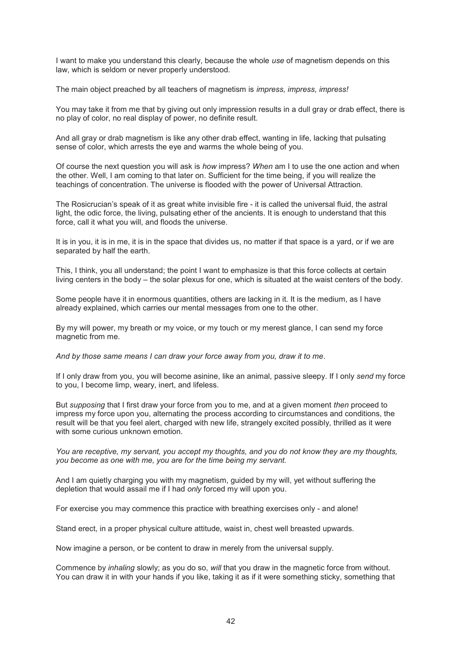I want to make you understand this clearly, because the whole *use* of magnetism depends on this law, which is seldom or never properly understood.

The main object preached by all teachers of magnetism is *impress, impress, impress!*

You may take it from me that by giving out only impression results in a dull gray or drab effect, there is no play of color, no real display of power, no definite result.

And all gray or drab magnetism is like any other drab effect, wanting in life, lacking that pulsating sense of color, which arrests the eye and warms the whole being of you.

Of course the next question you will ask is *how* impress? *When* am I to use the one action and when the other. Well, I am coming to that later on. Sufficient for the time being, if you will realize the teachings of concentration. The universe is flooded with the power of Universal Attraction.

The Rosicrucian's speak of it as great white invisible fire - it is called the universal fluid, the astral light, the odic force, the living, pulsating ether of the ancients. It is enough to understand that this force, call it what you will, and floods the universe.

It is in you, it is in me, it is in the space that divides us, no matter if that space is a yard, or if we are separated by half the earth.

This, I think, you all understand; the point I want to emphasize is that this force collects at certain living centers in the body – the solar plexus for one, which is situated at the waist centers of the body.

Some people have it in enormous quantities, others are lacking in it. It is the medium, as I have already explained, which carries our mental messages from one to the other.

By my will power, my breath or my voice, or my touch or my merest glance, I can send my force magnetic from me.

*And by those same means I can draw your force away from you, draw it to me*.

If I only draw from you, you will become asinine, like an animal, passive sleepy. If I only *send* my force to you, I become limp, weary, inert, and lifeless.

But *supposing* that I first draw your force from you to me, and at a given moment *then* proceed to impress my force upon you, alternating the process according to circumstances and conditions, the result will be that you feel alert, charged with new life, strangely excited possibly, thrilled as it were with some curious unknown emotion

*You are receptive, my servant, you accept my thoughts, and you do not know they are my thoughts, you become as one with me, you are for the time being my servant.*

And I am quietly charging you with my magnetism, guided by my will, yet without suffering the depletion that would assail me if I had *only* forced my will upon you.

For exercise you may commence this practice with breathing exercises only - and alone!

Stand erect, in a proper physical culture attitude, waist in, chest well breasted upwards.

Now imagine a person, or be content to draw in merely from the universal supply.

Commence by *inhaling* slowly; as you do so, *will* that you draw in the magnetic force from without. You can draw it in with your hands if you like, taking it as if it were something sticky, something that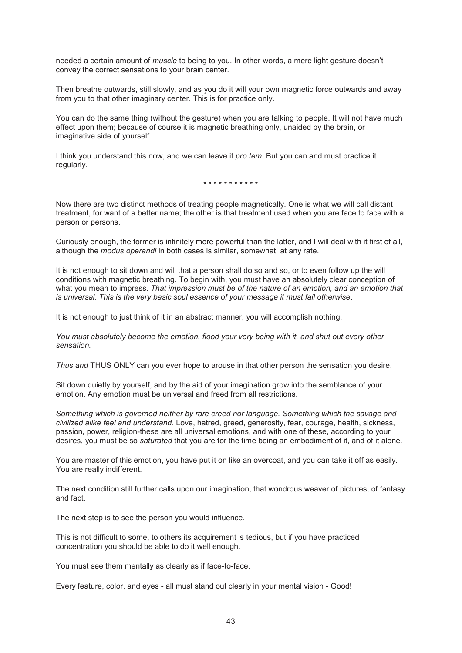needed a certain amount of *muscle* to being to you. In other words, a mere light gesture doesn't convey the correct sensations to your brain center.

Then breathe outwards, still slowly, and as you do it will your own magnetic force outwards and away from you to that other imaginary center. This is for practice only.

You can do the same thing (without the gesture) when you are talking to people. It will not have much effect upon them; because of course it is magnetic breathing only, unaided by the brain, or imaginative side of yourself.

I think you understand this now, and we can leave it *pro tem*. But you can and must practice it regularly.

#### \* \* \* \* \* \* \* \* \* \* \*

Now there are two distinct methods of treating people magnetically. One is what we will call distant treatment, for want of a better name; the other is that treatment used when you are face to face with a person or persons.

Curiously enough, the former is infinitely more powerful than the latter, and I will deal with it first of all, although the *modus operandi* in both cases is similar, somewhat, at any rate.

It is not enough to sit down and will that a person shall do so and so, or to even follow up the will conditions with magnetic breathing. To begin with, you must have an absolutely clear conception of what you mean to impress. *That impression must be of the nature of an emotion, and an emotion that is universal. This is the very basic soul essence of your message it must fail otherwise*.

It is not enough to just think of it in an abstract manner, you will accomplish nothing.

*You must absolutely become the emotion, flood your very being with it, and shut out every other sensation.*

*Thus and* THUS ONLY can you ever hope to arouse in that other person the sensation you desire.

Sit down quietly by yourself, and by the aid of your imagination grow into the semblance of your emotion. Any emotion must be universal and freed from all restrictions.

*Something which is governed neither by rare creed nor language. Something which the savage and civilized alike feel and understand*. Love, hatred, greed, generosity, fear, courage, health, sickness, passion, power, religion-these are all universal emotions, and with one of these, according to your desires, you must be so *saturated* that you are for the time being an embodiment of it, and of it alone.

You are master of this emotion, you have put it on like an overcoat, and you can take it off as easily. You are really indifferent.

The next condition still further calls upon our imagination, that wondrous weaver of pictures, of fantasy and fact.

The next step is to see the person you would influence.

This is not difficult to some, to others its acquirement is tedious, but if you have practiced concentration you should be able to do it well enough.

You must see them mentally as clearly as if face-to-face.

Every feature, color, and eyes - all must stand out clearly in your mental vision - Good!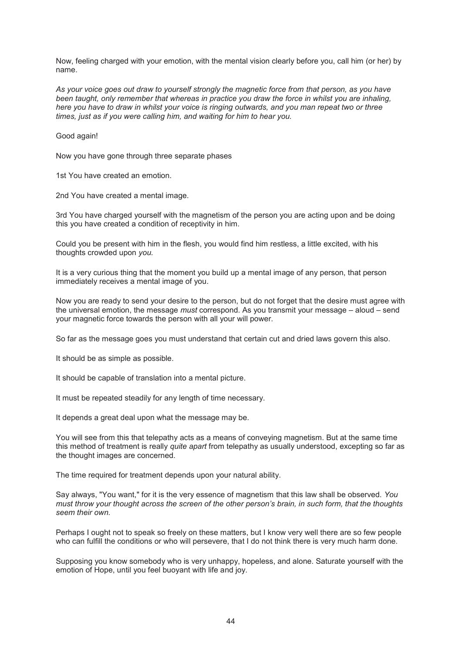Now, feeling charged with your emotion, with the mental vision clearly before you, call him (or her) by name.

*As your voice goes out draw to yourself strongly the magnetic force from that person, as you have been taught, only remember that whereas in practice you draw the force in whilst you are inhaling, here you have to draw in whilst your voice is ringing outwards, and you man repeat two or three times, just as if you were calling him, and waiting for him to hear you.* 

Good again!

Now you have gone through three separate phases

1st You have created an emotion.

2nd You have created a mental image.

3rd You have charged yourself with the magnetism of the person you are acting upon and be doing this you have created a condition of receptivity in him.

Could you be present with him in the flesh, you would find him restless, a little excited, with his thoughts crowded upon *you.*

It is a very curious thing that the moment you build up a mental image of any person, that person immediately receives a mental image of you.

Now you are ready to send your desire to the person, but do not forget that the desire must agree with the universal emotion, the message *must* correspond. As you transmit your message – aloud – send your magnetic force towards the person with all your will power.

So far as the message goes you must understand that certain cut and dried laws govern this also.

It should be as simple as possible.

It should be capable of translation into a mental picture.

It must be repeated steadily for any length of time necessary.

It depends a great deal upon what the message may be.

You will see from this that telepathy acts as a means of conveying magnetism. But at the same time this method of treatment is really *quite apart* from telepathy as usually understood, excepting so far as the thought images are concerned.

The time required for treatment depends upon your natural ability.

Say always, "You want," for it is the very essence of magnetism that this law shall be observed. *You must throw your thought across the screen of the other person's brain, in such form, that the thoughts seem their own.* 

Perhaps I ought not to speak so freely on these matters, but I know very well there are so few people who can fulfill the conditions or who will persevere, that I do not think there is very much harm done.

Supposing you know somebody who is very unhappy, hopeless, and alone. Saturate yourself with the emotion of Hope, until you feel buoyant with life and joy.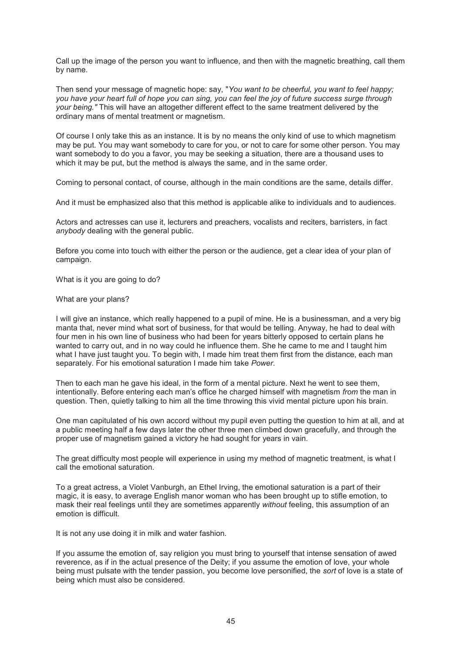Call up the image of the person you want to influence, and then with the magnetic breathing, call them by name.

Then send your message of magnetic hope: say, "*You want to be cheerful, you want to feel happy; you have your heart full of hope you can sing, you can feel the joy of future success surge through your being."* This will have an altogether different effect to the same treatment delivered by the ordinary mans of mental treatment or magnetism.

Of course I only take this as an instance. It is by no means the only kind of use to which magnetism may be put. You may want somebody to care for you, or not to care for some other person. You may want somebody to do you a favor, you may be seeking a situation, there are a thousand uses to which it may be put, but the method is always the same, and in the same order.

Coming to personal contact, of course, although in the main conditions are the same, details differ.

And it must be emphasized also that this method is applicable alike to individuals and to audiences.

Actors and actresses can use it, lecturers and preachers, vocalists and reciters, barristers, in fact *anybody* dealing with the general public.

Before you come into touch with either the person or the audience, get a clear idea of your plan of campaign.

What is it you are going to do?

#### What are your plans?

I will give an instance, which really happened to a pupil of mine. He is a businessman, and a very big manta that, never mind what sort of business, for that would be telling. Anyway, he had to deal with four men in his own line of business who had been for years bitterly opposed to certain plans he wanted to carry out, and in no way could he influence them. She he came to me and I taught him what I have just taught you. To begin with, I made him treat them first from the distance, each man separately. For his emotional saturation I made him take *Power*.

Then to each man he gave his ideal, in the form of a mental picture. Next he went to see them, intentionally. Before entering each man's office he charged himself with magnetism *from* the man in question. Then, quietly talking to him all the time throwing this vivid mental picture upon his brain.

One man capitulated of his own accord without my pupil even putting the question to him at all, and at a public meeting half a few days later the other three men climbed down gracefully, and through the proper use of magnetism gained a victory he had sought for years in vain.

The great difficulty most people will experience in using my method of magnetic treatment, is what I call the emotional saturation.

To a great actress, a Violet Vanburgh, an Ethel Irving, the emotional saturation is a part of their magic, it is easy, to average English manor woman who has been brought up to stifle emotion, to mask their real feelings until they are sometimes apparently *without* feeling, this assumption of an emotion is difficult.

It is not any use doing it in milk and water fashion.

If you assume the emotion of, say religion you must bring to yourself that intense sensation of awed reverence, as if in the actual presence of the Deity; if you assume the emotion of love, your whole being must pulsate with the tender passion, you become love personified, the *sort* of love is a state of being which must also be considered.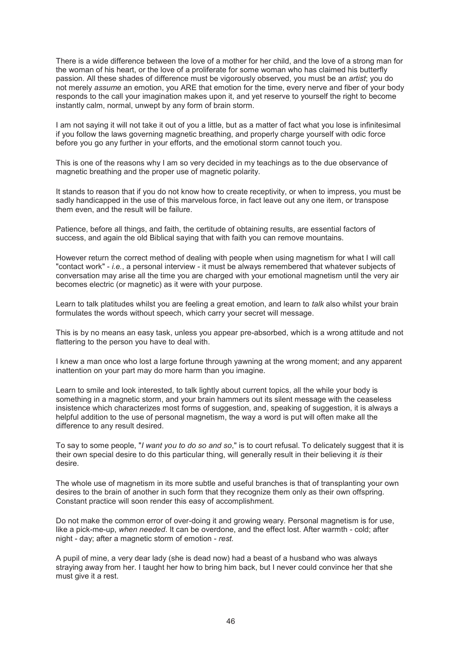There is a wide difference between the love of a mother for her child, and the love of a strong man for the woman of his heart, or the love of a proliferate for some woman who has claimed his butterfly passion. All these shades of difference must be vigorously observed, you must be an *artist*; you do not merely *assume* an emotion, you ARE that emotion for the time, every nerve and fiber of your body responds to the call your imagination makes upon it, and yet reserve to yourself the right to become instantly calm, normal, unwept by any form of brain storm.

I am not saying it will not take it out of you a little, but as a matter of fact what you lose is infinitesimal if you follow the laws governing magnetic breathing, and properly charge yourself with odic force before you go any further in your efforts, and the emotional storm cannot touch you.

This is one of the reasons why I am so very decided in my teachings as to the due observance of magnetic breathing and the proper use of magnetic polarity.

It stands to reason that if you do not know how to create receptivity, or when to impress, you must be sadly handicapped in the use of this marvelous force, in fact leave out any one item, or transpose them even, and the result will be failure.

Patience, before all things, and faith, the certitude of obtaining results, are essential factors of success, and again the old Biblical saying that with faith you can remove mountains.

However return the correct method of dealing with people when using magnetism for what I will call "contact work" - *i.e.*, a personal interview - it must be always remembered that whatever subjects of conversation may arise all the time you are charged with your emotional magnetism until the very air becomes electric (or magnetic) as it were with your purpose.

Learn to talk platitudes whilst you are feeling a great emotion, and learn to *talk* also whilst your brain formulates the words without speech, which carry your secret will message.

This is by no means an easy task, unless you appear pre-absorbed, which is a wrong attitude and not flattering to the person you have to deal with.

I knew a man once who lost a large fortune through yawning at the wrong moment; and any apparent inattention on your part may do more harm than you imagine.

Learn to smile and look interested, to talk lightly about current topics, all the while your body is something in a magnetic storm, and your brain hammers out its silent message with the ceaseless insistence which characterizes most forms of suggestion, and, speaking of suggestion, it is always a helpful addition to the use of personal magnetism, the way a word is put will often make all the difference to any result desired.

To say to some people, "*I want you to do so and so*," is to court refusal. To delicately suggest that it is their own special desire to do this particular thing, will generally result in their believing it *is* their desire.

The whole use of magnetism in its more subtle and useful branches is that of transplanting your own desires to the brain of another in such form that they recognize them only as their own offspring. Constant practice will soon render this easy of accomplishment.

Do not make the common error of over-doing it and growing weary. Personal magnetism is for use, like a pick-me-up, *when needed*. It can be overdone, and the effect lost. After warmth - cold; after night - day; after a magnetic storm of emotion - *rest.* 

A pupil of mine, a very dear lady (she is dead now) had a beast of a husband who was always straying away from her. I taught her how to bring him back, but I never could convince her that she must give it a rest.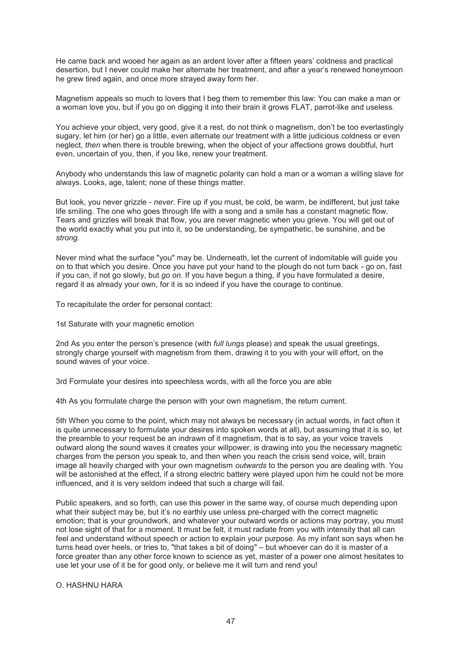He came back and wooed her again as an ardent lover after a fifteen years' coldness and practical desertion, but I never could make her alternate her treatment, and after a year's renewed honeymoon he grew tired again, and once more strayed away form her.

Magnetism appeals so much to lovers that I beg them to remember this law: You can make a man or a woman love you, but if you go on digging it into their brain it grows FLAT, parrot-like and useless.

You achieve your object, very good, give it a rest, do not think o magnetism, don't be too everlastingly sugary, let him (or her) go a little, even alternate our treatment with a little judicious coldness or even neglect, *then* when there is trouble brewing, when the object of your affections grows doubtful, hurt even, uncertain of you, then, if you like, renew your treatment.

Anybody who understands this law of magnetic polarity can hold a man or a woman a willing slave for always. Looks, age, talent; none of these things matter.

But look, you never grizzle - *never*. Fire up if you must, be cold, be warm, be indifferent, but just take life smiling. The one who goes through life with a song and a smile has a constant magnetic flow. Tears and grizzles will break that flow, you are never magnetic when you grieve. You will get out of the world exactly what you put into it, so be understanding, be sympathetic, be sunshine, and be *strong.*

Never mind what the surface "you" may be. Underneath, let the current of indomitable will guide you on to that which you desire. Once you have put your hand to the plough do not turn back - go on, fast if you can, if not go slowly, but *go on*. If you have begun a thing, if you have formulated a desire, regard it as already your own, for it is so indeed if you have the courage to continue.

To recapitulate the order for personal contact:

1st Saturate with your magnetic emotion

2nd As you enter the person's presence (with *full lungs* please) and speak the usual greetings, strongly charge yourself with magnetism from them, drawing it to you with your will effort, on the sound waves of your voice.

3rd Formulate your desires into speechless words, with all the force you are able

4th As you formulate charge the person with your own magnetism, the return current.

5th When you come to the point, which may not always be necessary (in actual words, in fact often it is quite unnecessary to formulate your desires into spoken words at all), but assuming that it is so, let the preamble to your request be an indrawn of it magnetism, that is to say, as your voice travels outward along the sound waves it creates your willpower, is drawing into you the necessary magnetic charges from the person you speak to, and then when you reach the crisis send voice, will, brain image all heavily charged with your own magnetism *outwards* to the person you are dealing with. You will be astonished at the effect, if a strong electric battery were played upon him he could not be more influenced, and it is very seldom indeed that such a charge will fail.

Public speakers, and so forth, can use this power in the same way, of course much depending upon what their subject may be, but it's no earthly use unless pre-charged with the correct magnetic emotion; that is your groundwork, and whatever your outward words or actions may portray, you must not lose sight of that for a moment. It must be felt, it must radiate from you with intensity that all can feel and understand without speech or action to explain your purpose. As my infant son says when he turns head over heels, or tries to, "that takes a bit of doing" – but whoever can do it is master of a force greater than any other force known to science as yet, master of a power one almost hesitates to use let your use of it be for good only, or believe me it will turn and rend you!

O. HASHNU HARA